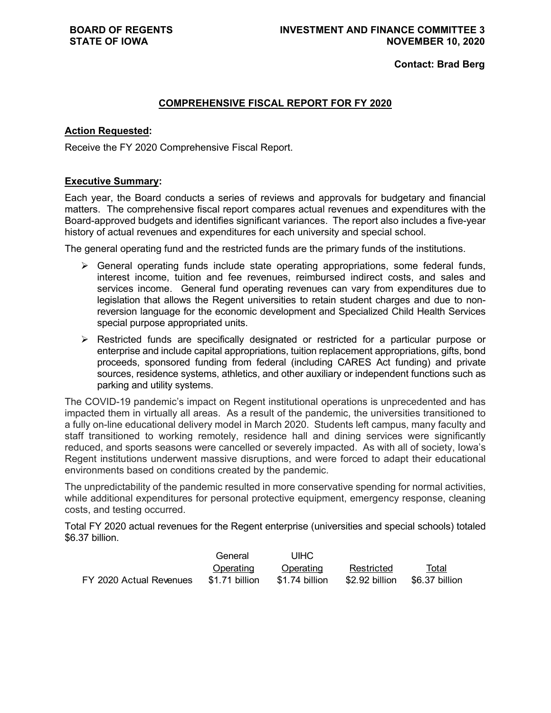**Contact: Brad Berg**

### **COMPREHENSIVE FISCAL REPORT FOR FY 2020**

### **Action Requested:**

Receive the FY 2020 Comprehensive Fiscal Report.

### **Executive Summary:**

Each year, the Board conducts a series of reviews and approvals for budgetary and financial matters. The comprehensive fiscal report compares actual revenues and expenditures with the Board-approved budgets and identifies significant variances. The report also includes a five-year history of actual revenues and expenditures for each university and special school.

The general operating fund and the restricted funds are the primary funds of the institutions.

- $\triangleright$  General operating funds include state operating appropriations, some federal funds, interest income, tuition and fee revenues, reimbursed indirect costs, and sales and services income. General fund operating revenues can vary from expenditures due to legislation that allows the Regent universities to retain student charges and due to nonreversion language for the economic development and Specialized Child Health Services special purpose appropriated units.
- Restricted funds are specifically designated or restricted for a particular purpose or enterprise and include capital appropriations, tuition replacement appropriations, gifts, bond proceeds, sponsored funding from federal (including CARES Act funding) and private sources, residence systems, athletics, and other auxiliary or independent functions such as parking and utility systems.

The COVID-19 pandemic's impact on Regent institutional operations is unprecedented and has impacted them in virtually all areas. As a result of the pandemic, the universities transitioned to a fully on-line educational delivery model in March 2020. Students left campus, many faculty and staff transitioned to working remotely, residence hall and dining services were significantly reduced, and sports seasons were cancelled or severely impacted. As with all of society, Iowa's Regent institutions underwent massive disruptions, and were forced to adapt their educational environments based on conditions created by the pandemic.

The unpredictability of the pandemic resulted in more conservative spending for normal activities, while additional expenditures for personal protective equipment, emergency response, cleaning costs, and testing occurred.

Total FY 2020 actual revenues for the Regent enterprise (universities and special schools) totaled \$6.37 billion.

|                         | General        | UIHC           |                               |       |
|-------------------------|----------------|----------------|-------------------------------|-------|
|                         | Operating      | Operating      | Restricted                    | Total |
| FY 2020 Actual Revenues | \$1.71 billion | \$1.74 billion | \$2.92 billion \$6.37 billion |       |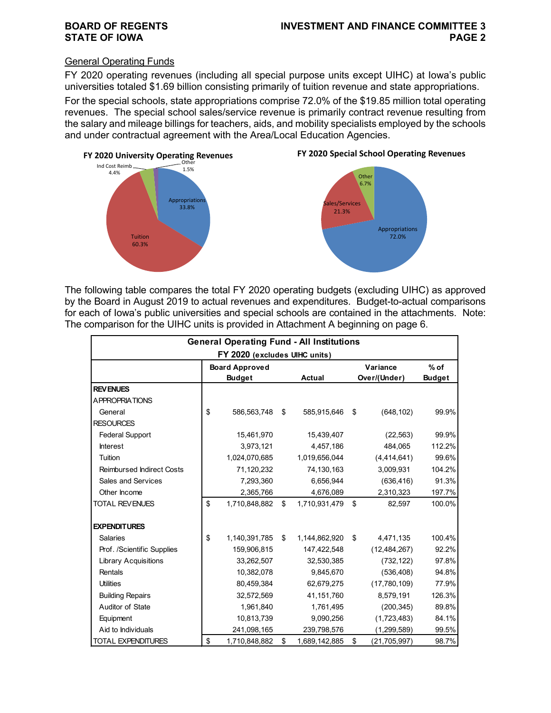### General Operating Funds

FY 2020 operating revenues (including all special purpose units except UIHC) at Iowa's public universities totaled \$1.69 billion consisting primarily of tuition revenue and state appropriations. For the special schools, state appropriations comprise 72.0% of the \$19.85 million total operating revenues. The special school sales/service revenue is primarily contract revenue resulting from the salary and mileage billings for teachers, aids, and mobility specialists employed by the schools and under contractual agreement with the Area/Local Education Agencies.







The following table compares the total FY 2020 operating budgets (excluding UIHC) as approved by the Board in August 2019 to actual revenues and expenditures. Budget-to-actual comparisons for each of Iowa's public universities and special schools are contained in the attachments. Note: The comparison for the UIHC units is provided in Attachment A beginning on page 6.

|                                  | <b>General Operating Fund - All Institutions</b> |                     |                    |               |
|----------------------------------|--------------------------------------------------|---------------------|--------------------|---------------|
|                                  | FY 2020 (excludes UIHC units)                    |                     |                    |               |
|                                  | <b>Board Approved</b>                            |                     | Variance           | $%$ of        |
|                                  | <b>Budget</b>                                    | <b>Actual</b>       | Over/(Under)       | <b>Budget</b> |
| <b>REV ENUES</b>                 |                                                  |                     |                    |               |
| <b>APPROPRIATIONS</b>            |                                                  |                     |                    |               |
| General                          | \$<br>586,563,748                                | \$<br>585,915,646   | \$<br>(648, 102)   | 99.9%         |
| <b>RESOURCES</b>                 |                                                  |                     |                    |               |
| <b>Federal Support</b>           | 15,461,970                                       | 15,439,407          | (22, 563)          | 99.9%         |
| <b>Interest</b>                  | 3,973,121                                        | 4,457,186           | 484,065            | 112.2%        |
| Tuition                          | 1,024,070,685                                    | 1,019,656,044       | (4,414,641)        | 99.6%         |
| <b>Reimbursed Indirect Costs</b> | 71,120,232                                       | 74,130,163          | 3,009,931          | 104.2%        |
| Sales and Services               | 7,293,360                                        | 6,656,944           | (636, 416)         | 91.3%         |
| Other Income                     | 2,365,766                                        | 4,676,089           | 2,310,323          | 197.7%        |
| <b>TOTAL REVENUES</b>            | \$<br>1,710,848,882                              | \$<br>1,710,931,479 | \$<br>82,597       | 100.0%        |
| <b>EXPENDITURES</b>              |                                                  |                     |                    |               |
| <b>Salaries</b>                  | \$<br>1,140,391,785                              | \$<br>1,144,862,920 | \$<br>4,471,135    | 100.4%        |
| Prof. /Scientific Supplies       | 159,906,815                                      | 147,422,548         | (12, 484, 267)     | 92.2%         |
| <b>Library Acquisitions</b>      | 33,262,507                                       | 32,530,385          | (732, 122)         | 97.8%         |
| Rentals                          | 10,382,078                                       | 9,845,670           | (536, 408)         | 94.8%         |
| <b>Utilities</b>                 | 80,459,384                                       | 62,679,275          | (17,780,109)       | 77.9%         |
| <b>Building Repairs</b>          | 32,572,569                                       | 41,151,760          | 8,579,191          | 126.3%        |
| Auditor of State                 | 1,961,840                                        | 1,761,495           | (200, 345)         | 89.8%         |
| Equipment                        | 10,813,739                                       | 9,090,256           | (1,723,483)        | 84.1%         |
| Aid to Individuals               | 241,098,165                                      | 239,798,576         | (1, 299, 589)      | 99.5%         |
| <b>TOTAL EXPENDITURES</b>        | \$<br>1,710,848,882                              | \$<br>1,689,142,885 | \$<br>(21,705,997) | 98.7%         |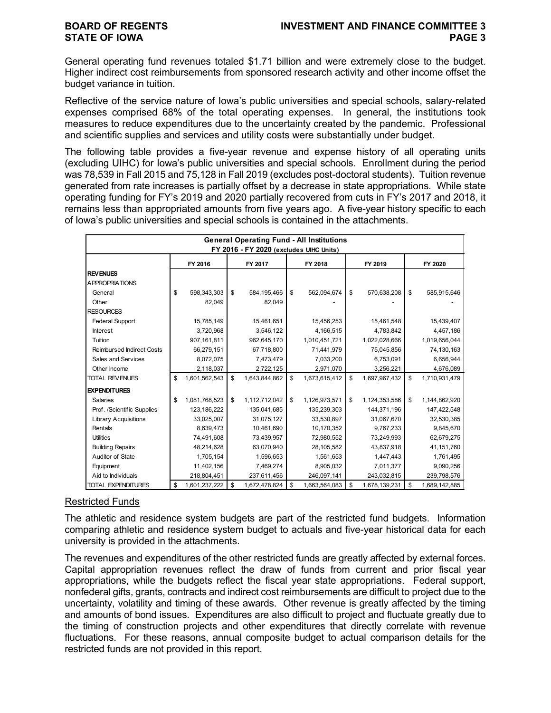General operating fund revenues totaled \$1.71 billion and were extremely close to the budget. Higher indirect cost reimbursements from sponsored research activity and other income offset the budget variance in tuition.

Reflective of the service nature of Iowa's public universities and special schools, salary-related expenses comprised 68% of the total operating expenses. In general, the institutions took measures to reduce expenditures due to the uncertainty created by the pandemic. Professional and scientific supplies and services and utility costs were substantially under budget.

The following table provides a five-year revenue and expense history of all operating units (excluding UIHC) for Iowa's public universities and special schools. Enrollment during the period was 78,539 in Fall 2015 and 75,128 in Fall 2019 (excludes post-doctoral students). Tuition revenue generated from rate increases is partially offset by a decrease in state appropriations. While state operating funding for FY's 2019 and 2020 partially recovered from cuts in FY's 2017 and 2018, it remains less than appropriated amounts from five years ago. A five-year history specific to each of Iowa's public universities and special schools is contained in the attachments.

| <b>General Operating Fund - All Institutions</b><br>FY 2016 - FY 2020 (excludes UIHC Units) |    |               |    |               |    |               |    |               |    |               |
|---------------------------------------------------------------------------------------------|----|---------------|----|---------------|----|---------------|----|---------------|----|---------------|
|                                                                                             |    | FY 2016       |    | FY 2017       |    | FY 2018       |    | FY 2019       |    | FY 2020       |
| <b>REVENUES</b>                                                                             |    |               |    |               |    |               |    |               |    |               |
| <b>APPROPRIATIONS</b>                                                                       |    |               |    |               |    |               |    |               |    |               |
| General                                                                                     | \$ | 598,343,303   | \$ | 584,195,466   | \$ | 562,094,674   | \$ | 570,638,208   | \$ | 585,915,646   |
| Other                                                                                       |    | 82,049        |    | 82,049        |    |               |    |               |    |               |
| <b>RESOURCES</b>                                                                            |    |               |    |               |    |               |    |               |    |               |
| <b>Federal Support</b>                                                                      |    | 15,785,149    |    | 15,461,651    |    | 15,456,253    |    | 15,461,548    |    | 15,439,407    |
| <b>Interest</b>                                                                             |    | 3,720,968     |    | 3,546,122     |    | 4,166,515     |    | 4,783,842     |    | 4,457,186     |
| Tuition                                                                                     |    | 907,161,811   |    | 962,645,170   |    | 1,010,451,721 |    | 1,022,028,666 |    | 1,019,656,044 |
| <b>Reimbursed Indirect Costs</b>                                                            |    | 66,279,151    |    | 67,718,800    |    | 71,441,979    |    | 75,045,856    |    | 74,130,163    |
| Sales and Services                                                                          |    | 8,072,075     |    | 7,473,479     |    | 7,033,200     |    | 6,753,091     |    | 6,656,944     |
| Other Income                                                                                |    | 2,118,037     |    | 2,722,125     |    | 2,971,070     |    | 3,256,221     |    | 4,676,089     |
| <b>TOTAL REVENUES</b>                                                                       | \$ | 1,601,562,543 | \$ | 1,643,844,862 | \$ | 1,673,615,412 | \$ | 1,697,967,432 | \$ | 1,710,931,479 |
| <b>EXPENDITURES</b>                                                                         |    |               |    |               |    |               |    |               |    |               |
| <b>Salaries</b>                                                                             | \$ | 1,081,768,523 | \$ | 1,112,712,042 | \$ | 1,126,973,571 | \$ | 1,124,353,586 | \$ | 1,144,862,920 |
| Prof. /Scientific Supplies                                                                  |    | 123, 186, 222 |    | 135,041,685   |    | 135,239,303   |    | 144,371,196   |    | 147,422,548   |
| <b>Library Acquisitions</b>                                                                 |    | 33,025,007    |    | 31,075,127    |    | 33,530,897    |    | 31,067,670    |    | 32,530,385    |
| Rentals                                                                                     |    | 8,639,473     |    | 10,461,690    |    | 10,170,352    |    | 9,767,233     |    | 9,845,670     |
| <b>Utilities</b>                                                                            |    | 74,491,608    |    | 73,439,957    |    | 72,980,552    |    | 73,249,993    |    | 62,679,275    |
| <b>Building Repairs</b>                                                                     |    | 48,214,628    |    | 63,070,940    |    | 28,105,582    |    | 43,837,918    |    | 41,151,760    |
| Auditor of State                                                                            |    | 1,705,154     |    | 1,596,653     |    | 1,561,653     |    | 1,447,443     |    | 1,761,495     |
| Equipment                                                                                   |    | 11,402,156    |    | 7,469,274     |    | 8,905,032     |    | 7,011,377     |    | 9,090,256     |
| Aid to Individuals                                                                          |    | 218,804,451   |    | 237,611,456   |    | 246,097,141   |    | 243,032,815   |    | 239,798,576   |
| <b>TOTAL EXPENDITURES</b>                                                                   | \$ | 1,601,237,222 | \$ | 1,672,478,824 | \$ | 1,663,564,083 | \$ | 1,678,139,231 | \$ | 1,689,142,885 |

### Restricted Funds

The athletic and residence system budgets are part of the restricted fund budgets. Information comparing athletic and residence system budget to actuals and five-year historical data for each university is provided in the attachments.

The revenues and expenditures of the other restricted funds are greatly affected by external forces. Capital appropriation revenues reflect the draw of funds from current and prior fiscal year appropriations, while the budgets reflect the fiscal year state appropriations. Federal support, nonfederal gifts, grants, contracts and indirect cost reimbursements are difficult to project due to the uncertainty, volatility and timing of these awards. Other revenue is greatly affected by the timing and amounts of bond issues. Expenditures are also difficult to project and fluctuate greatly due to the timing of construction projects and other expenditures that directly correlate with revenue fluctuations. For these reasons, annual composite budget to actual comparison details for the restricted funds are not provided in this report.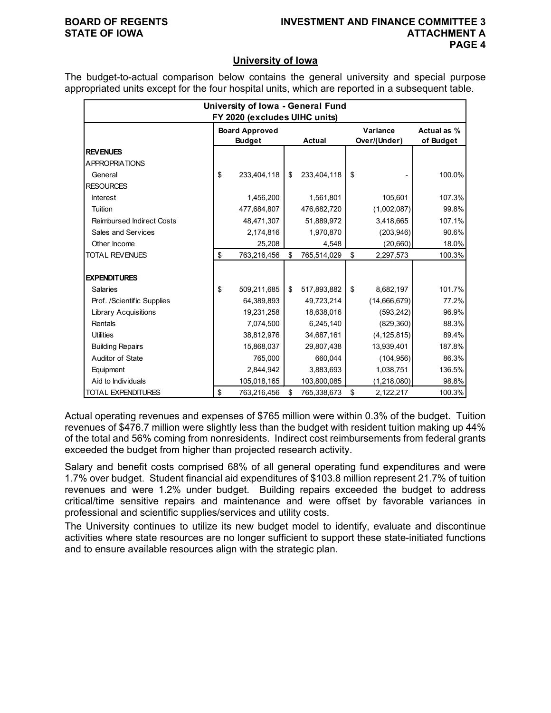### **BOARD OF REGENTS INVESTMENT AND FINANCE COMMITTEE 3 STATE OF IOWA ATTACHMENT A PAGE 4**

### **University of Iowa**

The budget-to-actual comparison below contains the general university and special purpose appropriated units except for the four hospital units, which are reported in a subsequent table.

| University of Iowa - General Fund |    |                               |    |               |    |               |             |  |  |
|-----------------------------------|----|-------------------------------|----|---------------|----|---------------|-------------|--|--|
|                                   |    | FY 2020 (excludes UIHC units) |    |               |    |               |             |  |  |
|                                   |    | <b>Board Approved</b>         |    |               |    | Variance      | Actual as % |  |  |
|                                   |    | <b>Budget</b>                 |    | <b>Actual</b> |    | Over/(Under)  | of Budget   |  |  |
| <b>REVENUES</b>                   |    |                               |    |               |    |               |             |  |  |
| <b>APPROPRIATIONS</b>             |    |                               |    |               |    |               |             |  |  |
| General                           | \$ | 233,404,118                   | \$ | 233,404,118   | \$ |               | 100.0%      |  |  |
| <b>RESOURCES</b>                  |    |                               |    |               |    |               |             |  |  |
| <b>Interest</b>                   |    | 1,456,200                     |    | 1,561,801     |    | 105,601       | 107.3%      |  |  |
| Tuition                           |    | 477.684.807                   |    | 476,682,720   |    | (1,002,087)   | 99.8%       |  |  |
| <b>Reimbursed Indirect Costs</b>  |    | 48,471,307                    |    | 51,889,972    |    | 3,418,665     | 107.1%      |  |  |
| Sales and Services                |    | 2,174,816                     |    | 1,970,870     |    | (203, 946)    | 90.6%       |  |  |
| Other Income                      |    | 25,208                        |    | 4,548         |    | (20, 660)     | 18.0%       |  |  |
| <b>TOTAL REVENUES</b>             | \$ | 763,216,456                   | \$ | 765,514,029   | \$ | 2,297,573     | 100.3%      |  |  |
|                                   |    |                               |    |               |    |               |             |  |  |
| <b>EXPENDITURES</b>               |    |                               |    |               |    |               |             |  |  |
| <b>Salaries</b>                   | \$ | 509,211,685                   | \$ | 517,893,882   | \$ | 8,682,197     | 101.7%      |  |  |
| Prof. /Scientific Supplies        |    | 64,389,893                    |    | 49,723,214    |    | (14,666,679)  | 77.2%       |  |  |
| <b>Library Acquisitions</b>       |    | 19,231,258                    |    | 18,638,016    |    | (593, 242)    | 96.9%       |  |  |
| Rentals                           |    | 7,074,500                     |    | 6,245,140     |    | (829, 360)    | 88.3%       |  |  |
| <b>Utilities</b>                  |    | 38,812,976                    |    | 34,687,161    |    | (4, 125, 815) | 89.4%       |  |  |
| <b>Building Repairs</b>           |    | 15,868,037                    |    | 29,807,438    |    | 13,939,401    | 187.8%      |  |  |
| Auditor of State                  |    | 765,000                       |    | 660,044       |    | (104, 956)    | 86.3%       |  |  |
| Equipment                         |    | 2,844,942                     |    | 3,883,693     |    | 1,038,751     | 136.5%      |  |  |
| Aid to Individuals                |    | 105,018,165                   |    | 103,800,085   |    | (1, 218, 080) | 98.8%       |  |  |
| <b>TOTAL EXPENDITURES</b>         | \$ | 763,216,456                   | \$ | 765,338,673   | \$ | 2,122,217     | 100.3%      |  |  |

Actual operating revenues and expenses of \$765 million were within 0.3% of the budget. Tuition revenues of \$476.7 million were slightly less than the budget with resident tuition making up 44% of the total and 56% coming from nonresidents. Indirect cost reimbursements from federal grants exceeded the budget from higher than projected research activity.

Salary and benefit costs comprised 68% of all general operating fund expenditures and were 1.7% over budget. Student financial aid expenditures of \$103.8 million represent 21.7% of tuition revenues and were 1.2% under budget. Building repairs exceeded the budget to address critical/time sensitive repairs and maintenance and were offset by favorable variances in professional and scientific supplies/services and utility costs.

The University continues to utilize its new budget model to identify, evaluate and discontinue activities where state resources are no longer sufficient to support these state-initiated functions and to ensure available resources align with the strategic plan.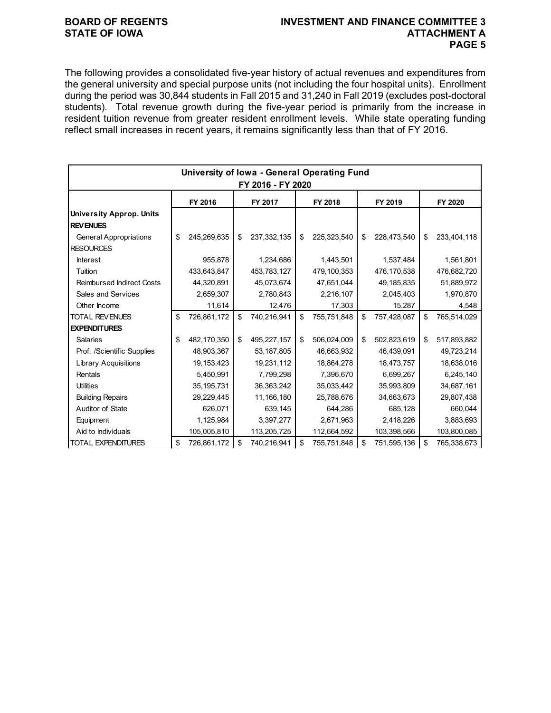### **BOARD OF REGENTS INVESTMENT AND FINANCE COMMITTEE 3 STATE OF IOWA ATTACHMENT A PAGE 5**

The following provides a consolidated five-year history of actual revenues and expenditures from the general university and special purpose units (not including the four hospital units). Enrollment during the period was 30,844 students in Fall 2015 and 31,240 in Fall 2019 (excludes post-doctoral students). Total revenue growth during the five-year period is primarily from the increase in resident tuition revenue from greater resident enrollment levels. While state operating funding reflect small increases in recent years, it remains significantly less than that of FY 2016.

|                                  |    | University of Iowa - General Operating Fund |    |             |    |             |    |             |    |             |
|----------------------------------|----|---------------------------------------------|----|-------------|----|-------------|----|-------------|----|-------------|
| FY 2016 - FY 2020                |    |                                             |    |             |    |             |    |             |    |             |
|                                  |    | FY 2016                                     |    | FY 2017     |    | FY 2018     |    | FY 2019     |    | FY 2020     |
| <b>University Approp. Units</b>  |    |                                             |    |             |    |             |    |             |    |             |
| <b>REV ENUES</b>                 |    |                                             |    |             |    |             |    |             |    |             |
| <b>General Appropriations</b>    | \$ | 245,269,635                                 | \$ | 237,332,135 | \$ | 225,323,540 | \$ | 228,473,540 | \$ | 233,404,118 |
| <b>RESOURCES</b>                 |    |                                             |    |             |    |             |    |             |    |             |
| <b>Interest</b>                  |    | 955,878                                     |    | 1,234,686   |    | 1,443,501   |    | 1,537,484   |    | 1,561,801   |
| Tuition                          |    | 433,643,847                                 |    | 453,783,127 |    | 479,100,353 |    | 476,170,538 |    | 476,682,720 |
| <b>Reimbursed Indirect Costs</b> |    | 44,320,891                                  |    | 45,073,674  |    | 47,651,044  |    | 49,185,835  |    | 51,889,972  |
| Sales and Services               |    | 2,659,307                                   |    | 2,780,843   |    | 2,216,107   |    | 2,045,403   |    | 1,970,870   |
| Other Income                     |    | 11,614                                      |    | 12,476      |    | 17,303      |    | 15,287      |    | 4,548       |
| <b>TOTAL REVENUES</b>            | \$ | 726,861,172                                 | \$ | 740,216,941 | \$ | 755,751,848 | \$ | 757,428,087 | \$ | 765,514,029 |
| <b>EXPENDITURES</b>              |    |                                             |    |             |    |             |    |             |    |             |
| <b>Salaries</b>                  | \$ | 482,170,350                                 | \$ | 495,227,157 | \$ | 506,024,009 | \$ | 502,823,619 | \$ | 517,893,882 |
| Prof. /Scientific Supplies       |    | 48,903,367                                  |    | 53,187,805  |    | 46,663,932  |    | 46,439,091  |    | 49,723,214  |
| <b>Library Acquisitions</b>      |    | 19,153,423                                  |    | 19,231,112  |    | 18,864,278  |    | 18,473,757  |    | 18,638,016  |
| Rentals                          |    | 5,450,991                                   |    | 7,799,298   |    | 7,396,670   |    | 6,699,267   |    | 6,245,140   |
| <b>Utilities</b>                 |    | 35, 195, 731                                |    | 36,363,242  |    | 35,033,442  |    | 35,993,809  |    | 34,687,161  |
| <b>Building Repairs</b>          |    | 29,229,445                                  |    | 11,166,180  |    | 25,788,676  |    | 34,663,673  |    | 29,807,438  |
| Auditor of State                 |    | 626,071                                     |    | 639,145     |    | 644,286     |    | 685,128     |    | 660,044     |
| Equipment                        |    | 1,125,984                                   |    | 3,397,277   |    | 2,671,963   |    | 2,418,226   |    | 3,883,693   |
| Aid to Individuals               |    | 105,005,810                                 |    | 113,205,725 |    | 112,664,592 |    | 103,398,566 |    | 103,800,085 |
| <b>TOTAL EXPENDITURES</b>        | \$ | 726,861,172                                 | \$ | 740,216,941 | \$ | 755,751,848 | \$ | 751,595,136 | \$ | 765,338,673 |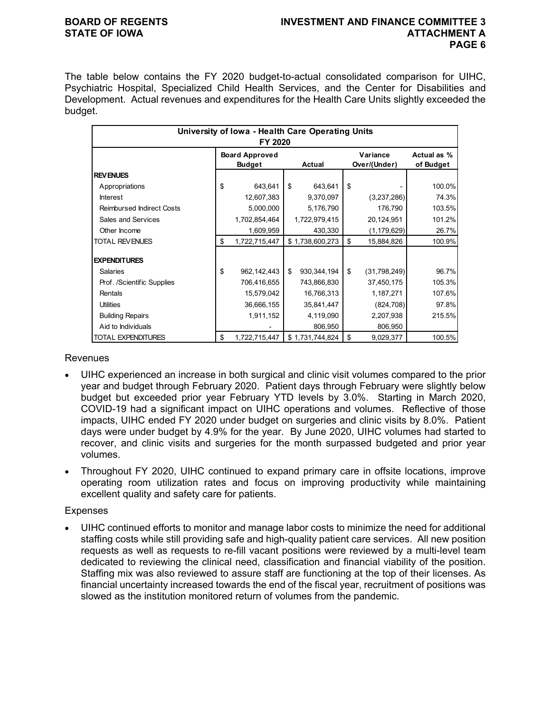### **BOARD OF REGENTS INVESTMENT AND FINANCE COMMITTEE 3 STATE OF IOWA ATTACHMENT A PAGE 6**

The table below contains the FY 2020 budget-to-actual consolidated comparison for UIHC, Psychiatric Hospital, Specialized Child Health Services, and the Center for Disabilities and Development. Actual revenues and expenditures for the Health Care Units slightly exceeded the budget.

| University of Iowa - Health Care Operating Units<br>FY 2020 |                                                  |               |    |                 |                          |                          |        |  |  |
|-------------------------------------------------------------|--------------------------------------------------|---------------|----|-----------------|--------------------------|--------------------------|--------|--|--|
|                                                             | <b>Board Approved</b><br><b>Budget</b><br>Actual |               |    |                 | Variance<br>Over/(Under) | Actual as %<br>of Budget |        |  |  |
| <b>REVENUES</b>                                             |                                                  |               |    |                 |                          |                          |        |  |  |
| Appropriations                                              | \$                                               | 643,641       | \$ | 643,641         | \$                       |                          | 100.0% |  |  |
| <b>Interest</b>                                             |                                                  | 12,607,383    |    | 9,370,097       |                          | (3,237,286)              | 74.3%  |  |  |
| <b>Reimbursed Indirect Costs</b>                            |                                                  | 5,000,000     |    | 5,176,790       |                          | 176,790                  | 103.5% |  |  |
| Sales and Services                                          |                                                  | 1,702,854,464 |    | 1,722,979,415   |                          | 20,124,951               | 101.2% |  |  |
| Other Income                                                |                                                  | 1,609,959     |    | 430,330         |                          | (1, 179, 629)            | 26.7%  |  |  |
| <b>TOTAL REVENUES</b>                                       | \$                                               | 1,722,715,447 |    | \$1,738,600,273 | \$                       | 15,884,826               | 100.9% |  |  |
| <b>EXPENDITURES</b>                                         |                                                  |               |    |                 |                          |                          |        |  |  |
| <b>Salaries</b>                                             | \$                                               | 962,142,443   | \$ | 930, 344, 194   | \$                       | (31,798,249)             | 96.7%  |  |  |
| Prof. /Scientific Supplies                                  |                                                  | 706,416,655   |    | 743,866,830     |                          | 37,450,175               | 105.3% |  |  |
| Rentals                                                     |                                                  | 15,579,042    |    | 16,766,313      |                          | 1,187,271                | 107.6% |  |  |
| <b>Utilities</b>                                            |                                                  | 36,666,155    |    | 35,841,447      |                          | (824, 708)               | 97.8%  |  |  |
| <b>Building Repairs</b>                                     |                                                  | 1,911,152     |    | 4,119,090       |                          | 2,207,938                | 215.5% |  |  |
| Aid to Individuals                                          |                                                  |               |    | 806,950         |                          | 806,950                  |        |  |  |
| TOTAL EXPENDITURES                                          | \$                                               | 1,722,715,447 |    | \$1,731,744,824 | \$                       | 9,029,377                | 100.5% |  |  |

### **Revenues**

- UIHC experienced an increase in both surgical and clinic visit volumes compared to the prior year and budget through February 2020. Patient days through February were slightly below budget but exceeded prior year February YTD levels by 3.0%. Starting in March 2020, COVID-19 had a significant impact on UIHC operations and volumes. Reflective of those impacts, UIHC ended FY 2020 under budget on surgeries and clinic visits by 8.0%. Patient days were under budget by 4.9% for the year. By June 2020, UIHC volumes had started to recover, and clinic visits and surgeries for the month surpassed budgeted and prior year volumes.
- Throughout FY 2020, UIHC continued to expand primary care in offsite locations, improve operating room utilization rates and focus on improving productivity while maintaining excellent quality and safety care for patients.

### Expenses

• UIHC continued efforts to monitor and manage labor costs to minimize the need for additional staffing costs while still providing safe and high-quality patient care services. All new position requests as well as requests to re-fill vacant positions were reviewed by a multi-level team dedicated to reviewing the clinical need, classification and financial viability of the position. Staffing mix was also reviewed to assure staff are functioning at the top of their licenses. As financial uncertainty increased towards the end of the fiscal year, recruitment of positions was slowed as the institution monitored return of volumes from the pandemic.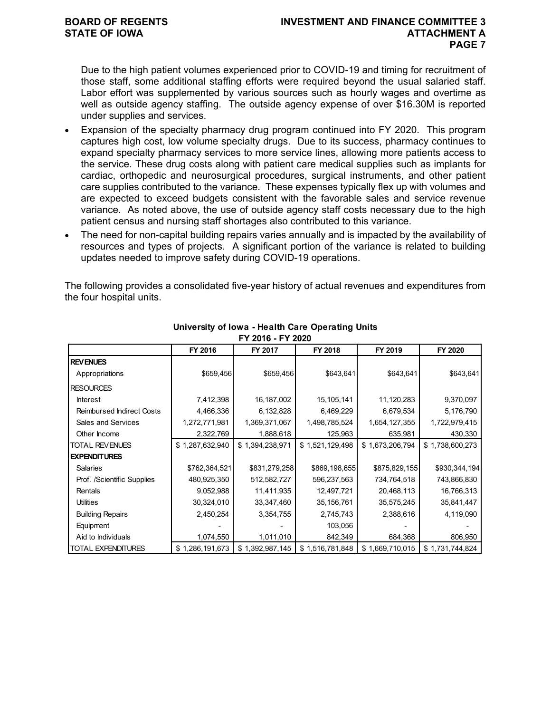Due to the high patient volumes experienced prior to COVID-19 and timing for recruitment of those staff, some additional staffing efforts were required beyond the usual salaried staff. Labor effort was supplemented by various sources such as hourly wages and overtime as well as outside agency staffing. The outside agency expense of over \$16.30M is reported under supplies and services.

- Expansion of the specialty pharmacy drug program continued into FY 2020. This program captures high cost, low volume specialty drugs. Due to its success, pharmacy continues to expand specialty pharmacy services to more service lines, allowing more patients access to the service. These drug costs along with patient care medical supplies such as implants for cardiac, orthopedic and neurosurgical procedures, surgical instruments, and other patient care supplies contributed to the variance. These expenses typically flex up with volumes and are expected to exceed budgets consistent with the favorable sales and service revenue variance. As noted above, the use of outside agency staff costs necessary due to the high patient census and nursing staff shortages also contributed to this variance.
- The need for non-capital building repairs varies annually and is impacted by the availability of resources and types of projects. A significant portion of the variance is related to building updates needed to improve safety during COVID-19 operations.

The following provides a consolidated five-year history of actual revenues and expenditures from the four hospital units.

| FY ZUID - FY ZUZU                |                 |                 |                 |                 |                 |  |  |  |  |
|----------------------------------|-----------------|-----------------|-----------------|-----------------|-----------------|--|--|--|--|
|                                  | FY 2016         | FY 2017         | FY 2018         | FY 2019         | FY 2020         |  |  |  |  |
| <b>REVENUES</b>                  |                 |                 |                 |                 |                 |  |  |  |  |
| Appropriations                   | \$659,456       | \$659,456       | \$643,641       | \$643,641       | \$643,641       |  |  |  |  |
| <b>RESOURCES</b>                 |                 |                 |                 |                 |                 |  |  |  |  |
| <b>Interest</b>                  | 7,412,398       | 16,187,002      | 15,105,141      | 11,120,283      | 9,370,097       |  |  |  |  |
| <b>Reimbursed Indirect Costs</b> | 4,466,336       | 6,132,828       | 6,469,229       | 6,679,534       | 5,176,790       |  |  |  |  |
| Sales and Services               | 1,272,771,981   | 1,369,371,067   | 1,498,785,524   | 1,654,127,355   | 1,722,979,415   |  |  |  |  |
| Other Income                     | 2,322,769       | 1,888,618       | 125,963         | 635,981         | 430,330         |  |  |  |  |
| <b>TOTAL REVENUES</b>            | \$1,287,632,940 | \$1,394,238,971 | \$1,521,129,498 | \$1,673,206,794 | \$1,738,600,273 |  |  |  |  |
| <b>EXPENDITURES</b>              |                 |                 |                 |                 |                 |  |  |  |  |
| <b>Salaries</b>                  | \$762,364,521   | \$831,279,258   | \$869,198,655   | \$875,829,155   | \$930,344,194   |  |  |  |  |
| Prof. /Scientific Supplies       | 480,925,350     | 512,582,727     | 596,237,563     | 734,764,518     | 743,866,830     |  |  |  |  |
| Rentals                          | 9,052,988       | 11,411,935      | 12,497,721      | 20,468,113      | 16,766,313      |  |  |  |  |
| <b>Utilities</b>                 | 30,324,010      | 33,347,460      | 35, 156, 761    | 35,575,245      | 35,841,447      |  |  |  |  |
| <b>Building Repairs</b>          | 2,450,254       | 3,354,755       | 2,745,743       | 2,388,616       | 4,119,090       |  |  |  |  |
| Equipment                        |                 |                 | 103,056         |                 |                 |  |  |  |  |
| Aid to Individuals               | 1,074,550       | 1,011,010       | 842,349         | 684,368         | 806,950         |  |  |  |  |
| <b>TOTAL EXPENDITURES</b>        | \$1,286,191,673 | \$1,392,987,145 | \$1,516,781,848 | \$1,669,710,015 | \$1,731,744,824 |  |  |  |  |

### **University of Iowa - Health Care Operating Units FY 2016 - FY 2020**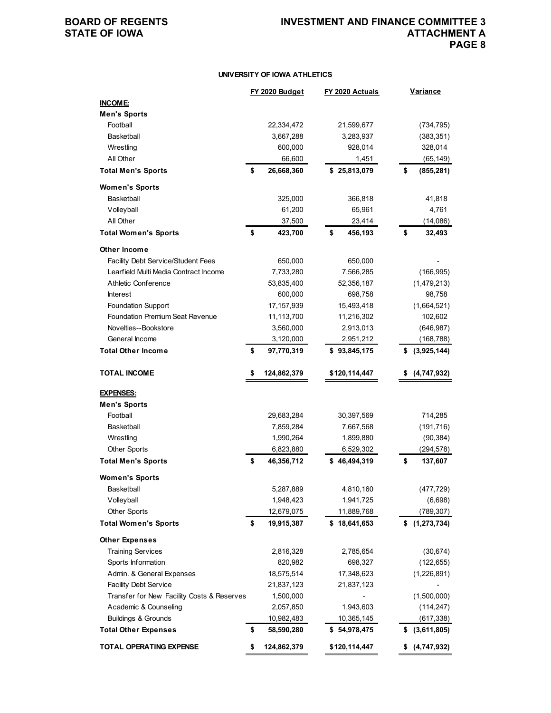### **UNIVERSITY OF IOWA ATHLETICS**

| <b>INCOME:</b><br><b>Men's Sports</b><br>Football<br>21,599,677<br>22,334,472<br>(734, 795)<br><b>Basketball</b><br>3,667,288<br>3,283,937<br>(383, 351)<br>Wrestling<br>600,000<br>928,014<br>328,014<br>All Other<br>66,600<br>1,451<br>(65, 149)<br>\$<br><b>Total Men's Sports</b><br>26,668,360<br>\$25,813,079<br>\$<br>(855, 281)<br><b>Women's Sports</b><br>Basketball<br>366,818<br>41,818<br>325,000<br>Volleyball<br>61,200<br>65,961<br>4,761<br>All Other<br>37,500<br>23,414<br>(14,086)<br>\$<br>\$<br><b>Total Women's Sports</b><br>423,700<br>456,193<br>\$<br>32,493<br>Other Income<br>Facility Debt Service/Student Fees<br>650,000<br>650,000<br>Learfield Multi Media Contract Income<br>7,566,285<br>7,733,280<br>(166, 995)<br>Athletic Conference<br>52,356,187<br>53,835,400<br>(1,479,213)<br>698,758<br><b>Interest</b><br>600,000<br>98,758<br><b>Foundation Support</b><br>15,493,418<br>(1,664,521)<br>17, 157, 939<br>Foundation Premium Seat Revenue<br>11,216,302<br>102,602<br>11,113,700<br>Novelties--Bookstore<br>(646, 987)<br>3,560,000<br>2,913,013<br>General Income<br>(168, 788)<br>3,120,000<br>2,951,212 |
|----------------------------------------------------------------------------------------------------------------------------------------------------------------------------------------------------------------------------------------------------------------------------------------------------------------------------------------------------------------------------------------------------------------------------------------------------------------------------------------------------------------------------------------------------------------------------------------------------------------------------------------------------------------------------------------------------------------------------------------------------------------------------------------------------------------------------------------------------------------------------------------------------------------------------------------------------------------------------------------------------------------------------------------------------------------------------------------------------------------------------------------------------------|
|                                                                                                                                                                                                                                                                                                                                                                                                                                                                                                                                                                                                                                                                                                                                                                                                                                                                                                                                                                                                                                                                                                                                                          |
|                                                                                                                                                                                                                                                                                                                                                                                                                                                                                                                                                                                                                                                                                                                                                                                                                                                                                                                                                                                                                                                                                                                                                          |
|                                                                                                                                                                                                                                                                                                                                                                                                                                                                                                                                                                                                                                                                                                                                                                                                                                                                                                                                                                                                                                                                                                                                                          |
|                                                                                                                                                                                                                                                                                                                                                                                                                                                                                                                                                                                                                                                                                                                                                                                                                                                                                                                                                                                                                                                                                                                                                          |
|                                                                                                                                                                                                                                                                                                                                                                                                                                                                                                                                                                                                                                                                                                                                                                                                                                                                                                                                                                                                                                                                                                                                                          |
|                                                                                                                                                                                                                                                                                                                                                                                                                                                                                                                                                                                                                                                                                                                                                                                                                                                                                                                                                                                                                                                                                                                                                          |
|                                                                                                                                                                                                                                                                                                                                                                                                                                                                                                                                                                                                                                                                                                                                                                                                                                                                                                                                                                                                                                                                                                                                                          |
|                                                                                                                                                                                                                                                                                                                                                                                                                                                                                                                                                                                                                                                                                                                                                                                                                                                                                                                                                                                                                                                                                                                                                          |
|                                                                                                                                                                                                                                                                                                                                                                                                                                                                                                                                                                                                                                                                                                                                                                                                                                                                                                                                                                                                                                                                                                                                                          |
|                                                                                                                                                                                                                                                                                                                                                                                                                                                                                                                                                                                                                                                                                                                                                                                                                                                                                                                                                                                                                                                                                                                                                          |
|                                                                                                                                                                                                                                                                                                                                                                                                                                                                                                                                                                                                                                                                                                                                                                                                                                                                                                                                                                                                                                                                                                                                                          |
|                                                                                                                                                                                                                                                                                                                                                                                                                                                                                                                                                                                                                                                                                                                                                                                                                                                                                                                                                                                                                                                                                                                                                          |
|                                                                                                                                                                                                                                                                                                                                                                                                                                                                                                                                                                                                                                                                                                                                                                                                                                                                                                                                                                                                                                                                                                                                                          |
|                                                                                                                                                                                                                                                                                                                                                                                                                                                                                                                                                                                                                                                                                                                                                                                                                                                                                                                                                                                                                                                                                                                                                          |
|                                                                                                                                                                                                                                                                                                                                                                                                                                                                                                                                                                                                                                                                                                                                                                                                                                                                                                                                                                                                                                                                                                                                                          |
|                                                                                                                                                                                                                                                                                                                                                                                                                                                                                                                                                                                                                                                                                                                                                                                                                                                                                                                                                                                                                                                                                                                                                          |
|                                                                                                                                                                                                                                                                                                                                                                                                                                                                                                                                                                                                                                                                                                                                                                                                                                                                                                                                                                                                                                                                                                                                                          |
|                                                                                                                                                                                                                                                                                                                                                                                                                                                                                                                                                                                                                                                                                                                                                                                                                                                                                                                                                                                                                                                                                                                                                          |
|                                                                                                                                                                                                                                                                                                                                                                                                                                                                                                                                                                                                                                                                                                                                                                                                                                                                                                                                                                                                                                                                                                                                                          |
|                                                                                                                                                                                                                                                                                                                                                                                                                                                                                                                                                                                                                                                                                                                                                                                                                                                                                                                                                                                                                                                                                                                                                          |
|                                                                                                                                                                                                                                                                                                                                                                                                                                                                                                                                                                                                                                                                                                                                                                                                                                                                                                                                                                                                                                                                                                                                                          |
| <b>Total Other Income</b><br>\$<br>\$93,845,175<br>97,770,319<br>(3,925,144)<br>\$                                                                                                                                                                                                                                                                                                                                                                                                                                                                                                                                                                                                                                                                                                                                                                                                                                                                                                                                                                                                                                                                       |
|                                                                                                                                                                                                                                                                                                                                                                                                                                                                                                                                                                                                                                                                                                                                                                                                                                                                                                                                                                                                                                                                                                                                                          |
| <b>TOTAL INCOME</b><br>\$<br>124,862,379<br>\$120,114,447<br>(4,747,932)<br>\$                                                                                                                                                                                                                                                                                                                                                                                                                                                                                                                                                                                                                                                                                                                                                                                                                                                                                                                                                                                                                                                                           |
| <b>EXPENSES:</b>                                                                                                                                                                                                                                                                                                                                                                                                                                                                                                                                                                                                                                                                                                                                                                                                                                                                                                                                                                                                                                                                                                                                         |
| <b>Men's Sports</b>                                                                                                                                                                                                                                                                                                                                                                                                                                                                                                                                                                                                                                                                                                                                                                                                                                                                                                                                                                                                                                                                                                                                      |
| Football<br>29,683,284<br>30,397,569<br>714,285                                                                                                                                                                                                                                                                                                                                                                                                                                                                                                                                                                                                                                                                                                                                                                                                                                                                                                                                                                                                                                                                                                          |
| Basketball<br>7,859,284<br>(191, 716)<br>7,667,568                                                                                                                                                                                                                                                                                                                                                                                                                                                                                                                                                                                                                                                                                                                                                                                                                                                                                                                                                                                                                                                                                                       |
| (90, 384)<br>Wrestling<br>1,990,264<br>1,899,880                                                                                                                                                                                                                                                                                                                                                                                                                                                                                                                                                                                                                                                                                                                                                                                                                                                                                                                                                                                                                                                                                                         |
| <b>Other Sports</b><br>6,823,880<br>6,529,302<br>(294,578)                                                                                                                                                                                                                                                                                                                                                                                                                                                                                                                                                                                                                                                                                                                                                                                                                                                                                                                                                                                                                                                                                               |
| <b>Total Men's Sports</b><br>\$<br>46,356,712<br>\$46,494,319<br>\$<br>137,607                                                                                                                                                                                                                                                                                                                                                                                                                                                                                                                                                                                                                                                                                                                                                                                                                                                                                                                                                                                                                                                                           |
| <b>Women's Sports</b>                                                                                                                                                                                                                                                                                                                                                                                                                                                                                                                                                                                                                                                                                                                                                                                                                                                                                                                                                                                                                                                                                                                                    |
| 4,810,160<br>Basketball<br>5,287,889<br>(477, 729)                                                                                                                                                                                                                                                                                                                                                                                                                                                                                                                                                                                                                                                                                                                                                                                                                                                                                                                                                                                                                                                                                                       |
| Volleyball<br>1,948,423<br>1,941,725<br>(6,698)                                                                                                                                                                                                                                                                                                                                                                                                                                                                                                                                                                                                                                                                                                                                                                                                                                                                                                                                                                                                                                                                                                          |
| <b>Other Sports</b><br>12,679,075<br>11,889,768<br>(789, 307)                                                                                                                                                                                                                                                                                                                                                                                                                                                                                                                                                                                                                                                                                                                                                                                                                                                                                                                                                                                                                                                                                            |
| <b>Total Women's Sports</b><br>19,915,387<br>\$18,641,653<br>(1, 273, 734)<br>\$<br>\$                                                                                                                                                                                                                                                                                                                                                                                                                                                                                                                                                                                                                                                                                                                                                                                                                                                                                                                                                                                                                                                                   |
| <b>Other Expenses</b>                                                                                                                                                                                                                                                                                                                                                                                                                                                                                                                                                                                                                                                                                                                                                                                                                                                                                                                                                                                                                                                                                                                                    |
| <b>Training Services</b><br>2,816,328<br>2,785,654<br>(30, 674)                                                                                                                                                                                                                                                                                                                                                                                                                                                                                                                                                                                                                                                                                                                                                                                                                                                                                                                                                                                                                                                                                          |
| Sports Information<br>820,982<br>698,327<br>(122, 655)                                                                                                                                                                                                                                                                                                                                                                                                                                                                                                                                                                                                                                                                                                                                                                                                                                                                                                                                                                                                                                                                                                   |
| Admin. & General Expenses<br>18,575,514<br>17,348,623<br>(1,226,891)                                                                                                                                                                                                                                                                                                                                                                                                                                                                                                                                                                                                                                                                                                                                                                                                                                                                                                                                                                                                                                                                                     |
| <b>Facility Debt Service</b><br>21,837,123<br>21,837,123                                                                                                                                                                                                                                                                                                                                                                                                                                                                                                                                                                                                                                                                                                                                                                                                                                                                                                                                                                                                                                                                                                 |
| Transfer for New Facility Costs & Reserves<br>1,500,000<br>(1,500,000)                                                                                                                                                                                                                                                                                                                                                                                                                                                                                                                                                                                                                                                                                                                                                                                                                                                                                                                                                                                                                                                                                   |
| Academic & Counseling<br>2,057,850<br>1,943,603<br>(114, 247)                                                                                                                                                                                                                                                                                                                                                                                                                                                                                                                                                                                                                                                                                                                                                                                                                                                                                                                                                                                                                                                                                            |
| <b>Buildings &amp; Grounds</b><br>10,982,483<br>10,365,145<br>(617, 338)                                                                                                                                                                                                                                                                                                                                                                                                                                                                                                                                                                                                                                                                                                                                                                                                                                                                                                                                                                                                                                                                                 |
| \$<br>58,590,280<br>\$54,978,475<br><b>Total Other Expenses</b><br>(3,611,805)<br>\$                                                                                                                                                                                                                                                                                                                                                                                                                                                                                                                                                                                                                                                                                                                                                                                                                                                                                                                                                                                                                                                                     |
| <b>TOTAL OPERATING EXPENSE</b><br>\$<br>124,862,379<br>\$120,114,447<br>(4,747,932)<br>\$                                                                                                                                                                                                                                                                                                                                                                                                                                                                                                                                                                                                                                                                                                                                                                                                                                                                                                                                                                                                                                                                |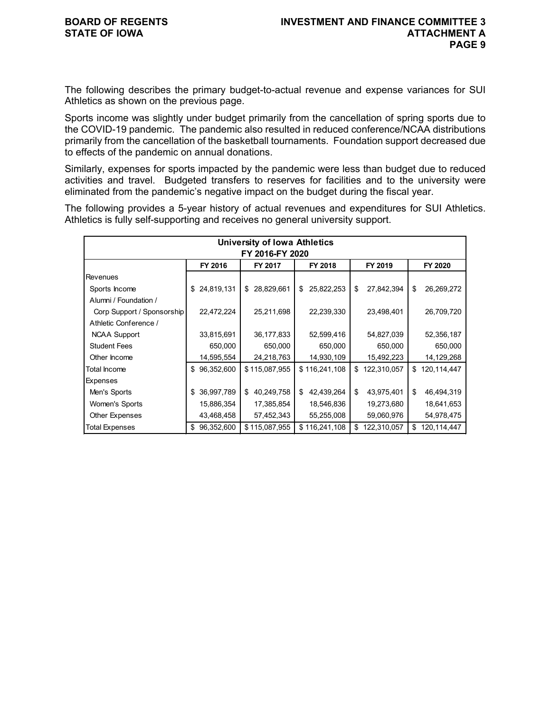The following describes the primary budget-to-actual revenue and expense variances for SUI Athletics as shown on the previous page.

Sports income was slightly under budget primarily from the cancellation of spring sports due to the COVID-19 pandemic. The pandemic also resulted in reduced conference/NCAA distributions primarily from the cancellation of the basketball tournaments. Foundation support decreased due to effects of the pandemic on annual donations.

Similarly, expenses for sports impacted by the pandemic were less than budget due to reduced activities and travel. Budgeted transfers to reserves for facilities and to the university were eliminated from the pandemic's negative impact on the budget during the fiscal year.

The following provides a 5-year history of actual revenues and expenditures for SUI Athletics. Athletics is fully self-supporting and receives no general university support.

| <b>University of Iowa Athletics</b><br>FY 2016-FY 2020 |                                          |            |    |               |    |               |    |             |    |             |
|--------------------------------------------------------|------------------------------------------|------------|----|---------------|----|---------------|----|-------------|----|-------------|
|                                                        | FY 2016<br>FY 2017<br>FY 2018<br>FY 2019 |            |    |               |    |               |    |             |    | FY 2020     |
| Revenues                                               |                                          |            |    |               |    |               |    |             |    |             |
| Sports Income                                          | \$                                       | 24,819,131 | \$ | 28,829,661    | \$ | 25,822,253    | \$ | 27,842,394  | \$ | 26,269,272  |
| Alumni / Foundation /                                  |                                          |            |    |               |    |               |    |             |    |             |
| Corp Support / Sponsorship                             |                                          | 22,472,224 |    | 25,211,698    |    | 22,239,330    |    | 23,498,401  |    | 26,709,720  |
| Athletic Conference /                                  |                                          |            |    |               |    |               |    |             |    |             |
| <b>NCAA Support</b>                                    |                                          | 33,815,691 |    | 36,177,833    |    | 52,599,416    |    | 54,827,039  |    | 52,356,187  |
| <b>Student Fees</b>                                    |                                          | 650,000    |    | 650,000       |    | 650,000       |    | 650,000     |    | 650,000     |
| Other Income                                           |                                          | 14,595,554 |    | 24,218,763    |    | 14,930,109    |    | 15,492,223  |    | 14,129,268  |
| Total Income                                           | \$                                       | 96,352,600 |    | \$115,087,955 |    | \$116,241,108 | \$ | 122,310,057 | \$ | 120,114,447 |
| Expenses                                               |                                          |            |    |               |    |               |    |             |    |             |
| Men's Sports                                           | \$                                       | 36,997,789 |    | \$40,249,758  | \$ | 42,439,264    | \$ | 43,975,401  | \$ | 46,494,319  |
| Women's Sports                                         |                                          | 15,886,354 |    | 17,385,854    |    | 18,546,836    |    | 19,273,680  |    | 18,641,653  |
| Other Expenses                                         |                                          | 43,468,458 |    | 57,452,343    |    | 55,255,008    |    | 59,060,976  |    | 54,978,475  |
| <b>Total Expenses</b>                                  | \$                                       | 96,352,600 |    | \$115,087,955 |    | \$116,241,108 | \$ | 122,310,057 | \$ | 120,114,447 |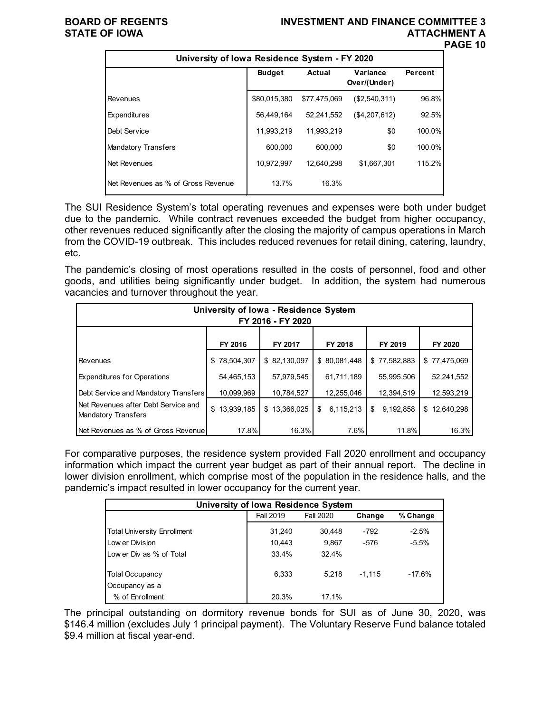### **BOARD OF REGENTS INVESTMENT AND FINANCE COMMITTEE 3 STATE OF IOWA ATTACHMENT A PAGE 10**

| University of Iowa Residence System - FY 2020 |               |               |                          |         |  |  |  |  |  |  |
|-----------------------------------------------|---------------|---------------|--------------------------|---------|--|--|--|--|--|--|
|                                               | <b>Budget</b> | <b>Actual</b> | Variance<br>Over/(Under) | Percent |  |  |  |  |  |  |
| Revenues                                      | \$80,015,380  | \$77,475,069  | (\$2,540,311)            | 96.8%   |  |  |  |  |  |  |
| Expenditures                                  | 56,449,164    | 52.241.552    | (\$4,207,612)            | 92.5%   |  |  |  |  |  |  |
| Debt Service                                  | 11,993,219    | 11,993,219    | \$0                      | 100.0%  |  |  |  |  |  |  |
| <b>Mandatory Transfers</b>                    | 600.000       | 600.000       | \$0                      | 100.0%  |  |  |  |  |  |  |
| Net Revenues                                  | 10.972.997    | 12.640.298    | \$1,667,301              | 115.2%  |  |  |  |  |  |  |
| Net Revenues as % of Gross Revenue            | 13.7%         | 16.3%         |                          |         |  |  |  |  |  |  |

The SUI Residence System's total operating revenues and expenses were both under budget due to the pandemic. While contract revenues exceeded the budget from higher occupancy, other revenues reduced significantly after the closing the majority of campus operations in March from the COVID-19 outbreak. This includes reduced revenues for retail dining, catering, laundry, etc.

The pandemic's closing of most operations resulted in the costs of personnel, food and other goods, and utilities being significantly under budget. In addition, the system had numerous vacancies and turnover throughout the year.

| University of Iowa - Residence System<br>FY 2016 - FY 2020 |                  |              |                 |                 |              |  |  |  |  |
|------------------------------------------------------------|------------------|--------------|-----------------|-----------------|--------------|--|--|--|--|
|                                                            | FY 2016          | FY 2017      | FY 2018         | FY 2019         | FY 2020      |  |  |  |  |
| Revenues                                                   | \$78,504,307     | \$82,130,097 | \$ 80,081,448   | \$77,582,883    | \$77,475,069 |  |  |  |  |
| <b>Expenditures for Operations</b>                         | 54,465,153       | 57,979,545   | 61,711,189      | 55,995,506      | 52,241,552   |  |  |  |  |
| Debt Service and Mandatory Transfers                       | 10,099,969       | 10,784,527   | 12,255,046      | 12,394,519      | 12,593,219   |  |  |  |  |
| Net Revenues after Debt Service and<br>Mandatory Transfers | \$<br>13,939,185 | \$13.366.025 | 6,115,213<br>\$ | 9,192,858<br>\$ | \$12,640,298 |  |  |  |  |
| Net Revenues as % of Gross Revenue                         | 17.8%            | 16.3%        | 7.6%            | 11.8%           | 16.3%        |  |  |  |  |

For comparative purposes, the residence system provided Fall 2020 enrollment and occupancy information which impact the current year budget as part of their annual report. The decline in lower division enrollment, which comprise most of the population in the residence halls, and the pandemic's impact resulted in lower occupancy for the current year.

| University of Iowa Residence System |                  |           |          |          |  |  |  |  |  |  |
|-------------------------------------|------------------|-----------|----------|----------|--|--|--|--|--|--|
|                                     | <b>Fall 2019</b> | Fall 2020 | Change   | % Change |  |  |  |  |  |  |
| <b>Total University Enrollment</b>  | 31,240           | 30.448    | $-792$   | $-2.5%$  |  |  |  |  |  |  |
| Low er Division                     | 10.443           | 9.867     | -576     | $-5.5%$  |  |  |  |  |  |  |
| Low er Div as % of Total            | 33.4%            | 32.4%     |          |          |  |  |  |  |  |  |
| <b>Total Occupancy</b>              | 6.333            | 5.218     | $-1.115$ | $-17.6%$ |  |  |  |  |  |  |
| Occupancy as a                      |                  |           |          |          |  |  |  |  |  |  |
| % of Enrollment                     | 20.3%            | 17.1%     |          |          |  |  |  |  |  |  |

The principal outstanding on dormitory revenue bonds for SUI as of June 30, 2020, was \$146.4 million (excludes July 1 principal payment). The Voluntary Reserve Fund balance totaled \$9.4 million at fiscal year-end.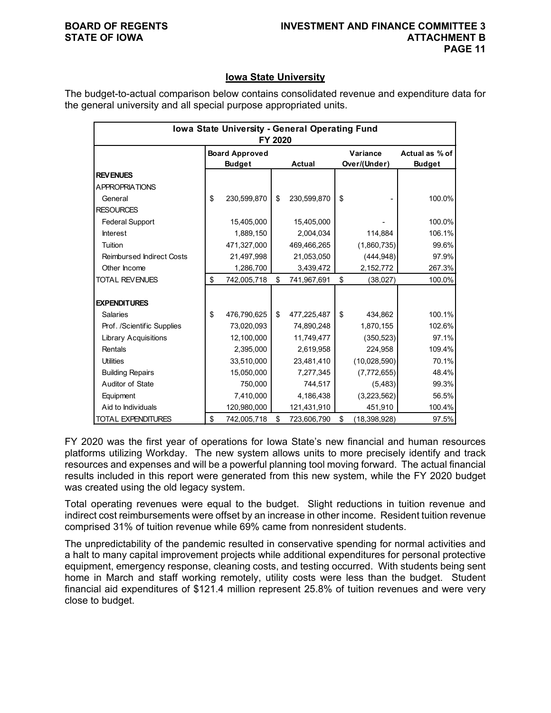## **Iowa State University**

The budget-to-actual comparison below contains consolidated revenue and expenditure data for the general university and all special purpose appropriated units.

| Iowa State University - General Operating Fund<br>FY 2020 |    |                                        |    |               |    |                          |                                 |  |
|-----------------------------------------------------------|----|----------------------------------------|----|---------------|----|--------------------------|---------------------------------|--|
|                                                           |    | <b>Board Approved</b><br><b>Budget</b> |    | <b>Actual</b> |    | Variance<br>Over/(Under) | Actual as % of<br><b>Budget</b> |  |
| <b>REVENUES</b>                                           |    |                                        |    |               |    |                          |                                 |  |
| <b>APPROPRIATIONS</b>                                     |    |                                        |    |               |    |                          |                                 |  |
| General                                                   | \$ | 230,599,870                            | \$ | 230,599,870   | \$ |                          | 100.0%                          |  |
| <b>RESOURCES</b>                                          |    |                                        |    |               |    |                          |                                 |  |
| <b>Federal Support</b>                                    |    | 15,405,000                             |    | 15,405,000    |    |                          | 100.0%                          |  |
| <b>Interest</b>                                           |    | 1,889,150                              |    | 2,004,034     |    | 114,884                  | 106.1%                          |  |
| Tuition                                                   |    | 471,327,000                            |    | 469,466,265   |    | (1,860,735)              | 99.6%                           |  |
| <b>Reimbursed Indirect Costs</b>                          |    | 21,497,998                             |    | 21,053,050    |    | (444, 948)               | 97.9%                           |  |
| Other Income                                              |    | 1,286,700                              |    | 3,439,472     |    | 2,152,772                | 267.3%                          |  |
| <b>TOTAL REVENUES</b>                                     | \$ | 742,005,718                            | \$ | 741,967,691   | \$ | (38,027)                 | 100.0%                          |  |
|                                                           |    |                                        |    |               |    |                          |                                 |  |
| <b>EXPENDITURES</b>                                       |    |                                        |    |               |    |                          |                                 |  |
| <b>Salaries</b>                                           | \$ | 476,790,625                            | \$ | 477,225,487   | \$ | 434,862                  | 100.1%                          |  |
| Prof. /Scientific Supplies                                |    | 73,020,093                             |    | 74,890,248    |    | 1,870,155                | 102.6%                          |  |
| <b>Library Acquisitions</b>                               |    | 12,100,000                             |    | 11,749,477    |    | (350, 523)               | 97.1%                           |  |
| Rentals                                                   |    | 2,395,000                              |    | 2,619,958     |    | 224,958                  | 109.4%                          |  |
| <b>Utilities</b>                                          |    | 33,510,000                             |    | 23,481,410    |    | (10,028,590)             | 70.1%                           |  |
| <b>Building Repairs</b>                                   |    | 15,050,000                             |    | 7,277,345     |    | (7, 772, 655)            | 48.4%                           |  |
| Auditor of State                                          |    | 750,000                                |    | 744,517       |    | (5,483)                  | 99.3%                           |  |
| Equipment                                                 |    | 7,410,000                              |    | 4,186,438     |    | (3,223,562)              | 56.5%                           |  |
| Aid to Individuals                                        |    | 120,980,000                            |    | 121,431,910   |    | 451,910                  | 100.4%                          |  |
| TOTAL EXPENDITURES                                        | \$ | 742,005,718                            | \$ | 723,606,790   | \$ | (18, 398, 928)           | 97.5%                           |  |

FY 2020 was the first year of operations for Iowa State's new financial and human resources platforms utilizing Workday. The new system allows units to more precisely identify and track resources and expenses and will be a powerful planning tool moving forward. The actual financial results included in this report were generated from this new system, while the FY 2020 budget was created using the old legacy system.

Total operating revenues were equal to the budget. Slight reductions in tuition revenue and indirect cost reimbursements were offset by an increase in other income. Resident tuition revenue comprised 31% of tuition revenue while 69% came from nonresident students.

The unpredictability of the pandemic resulted in conservative spending for normal activities and a halt to many capital improvement projects while additional expenditures for personal protective equipment, emergency response, cleaning costs, and testing occurred. With students being sent home in March and staff working remotely, utility costs were less than the budget. Student financial aid expenditures of \$121.4 million represent 25.8% of tuition revenues and were very close to budget.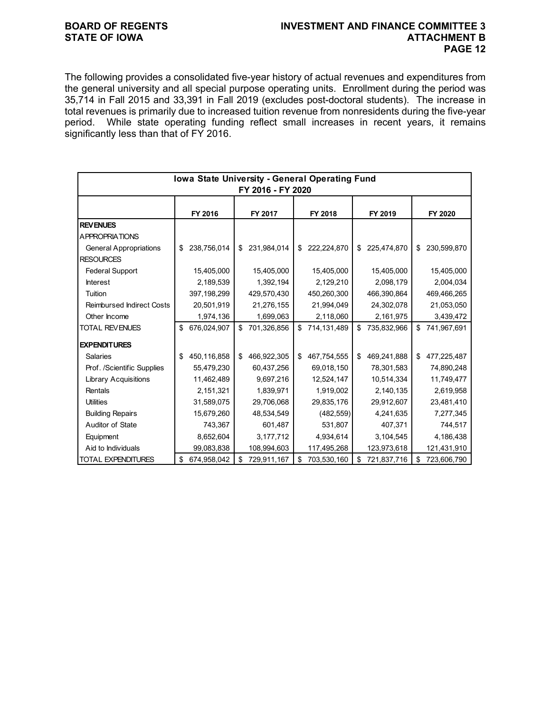## **BOARD OF REGENTS INVESTMENT AND FINANCE COMMITTEE 3 PAGE 12**

The following provides a consolidated five-year history of actual revenues and expenditures from the general university and all special purpose operating units. Enrollment during the period was 35,714 in Fall 2015 and 33,391 in Fall 2019 (excludes post-doctoral students). The increase in total revenues is primarily due to increased tuition revenue from nonresidents during the five-year period. While state operating funding reflect small increases in recent years, it remains significantly less than that of FY 2016.

| Iowa State University - General Operating Fund<br>FY 2016 - FY 2020 |    |             |    |             |    |             |    |             |                   |
|---------------------------------------------------------------------|----|-------------|----|-------------|----|-------------|----|-------------|-------------------|
|                                                                     |    | FY 2016     |    | FY 2017     |    | FY 2018     |    | FY 2019     | FY 2020           |
| <b>REVENUES</b>                                                     |    |             |    |             |    |             |    |             |                   |
| <b>APPROPRIATIONS</b>                                               |    |             |    |             |    |             |    |             |                   |
| <b>General Appropriations</b>                                       | \$ | 238,756,014 | \$ | 231,984,014 | \$ | 222,224,870 | \$ | 225,474,870 | \$<br>230,599,870 |
| <b>RESOURCES</b>                                                    |    |             |    |             |    |             |    |             |                   |
| <b>Federal Support</b>                                              |    | 15,405,000  |    | 15,405,000  |    | 15,405,000  |    | 15,405,000  | 15,405,000        |
| <b>Interest</b>                                                     |    | 2,189,539   |    | 1,392,194   |    | 2,129,210   |    | 2,098,179   | 2,004,034         |
| Tuition                                                             |    | 397,198,299 |    | 429,570,430 |    | 450,260,300 |    | 466,390,864 | 469,466,265       |
| <b>Reimbursed Indirect Costs</b>                                    |    | 20,501,919  |    | 21,276,155  |    | 21,994,049  |    | 24,302,078  | 21,053,050        |
| Other Income                                                        |    | 1,974,136   |    | 1,699,063   |    | 2,118,060   |    | 2,161,975   | 3,439,472         |
| <b>TOTAL REVENUES</b>                                               | \$ | 676,024,907 | \$ | 701,326,856 | \$ | 714,131,489 | \$ | 735,832,966 | \$741,967,691     |
| <b>EXPENDITURES</b>                                                 |    |             |    |             |    |             |    |             |                   |
| <b>Salaries</b>                                                     | \$ | 450,116,858 | \$ | 466,922,305 | \$ | 467,754,555 | \$ | 469,241,888 | \$<br>477,225,487 |
| Prof. /Scientific Supplies                                          |    | 55,479,230  |    | 60,437,256  |    | 69,018,150  |    | 78,301,583  | 74,890,248        |
| <b>Library Acquisitions</b>                                         |    | 11,462,489  |    | 9,697,216   |    | 12,524,147  |    | 10,514,334  | 11,749,477        |
| Rentals                                                             |    | 2,151,321   |    | 1,839,971   |    | 1,919,002   |    | 2,140,135   | 2,619,958         |
| <b>Utilities</b>                                                    |    | 31,589,075  |    | 29,706,068  |    | 29,835,176  |    | 29,912,607  | 23,481,410        |
| <b>Building Repairs</b>                                             |    | 15,679,260  |    | 48,534,549  |    | (482, 559)  |    | 4,241,635   | 7,277,345         |
| Auditor of State                                                    |    | 743,367     |    | 601,487     |    | 531,807     |    | 407,371     | 744,517           |
| Equipment                                                           |    | 8,652,604   |    | 3,177,712   |    | 4,934,614   |    | 3,104,545   | 4,186,438         |
| Aid to Individuals                                                  |    | 99,083,838  |    | 108,994,603 |    | 117,495,268 |    | 123,973,618 | 121,431,910       |
| <b>TOTAL EXPENDITURES</b>                                           | \$ | 674,958,042 | \$ | 729,911,167 | \$ | 703,530,160 | \$ | 721,837,716 | \$<br>723,606,790 |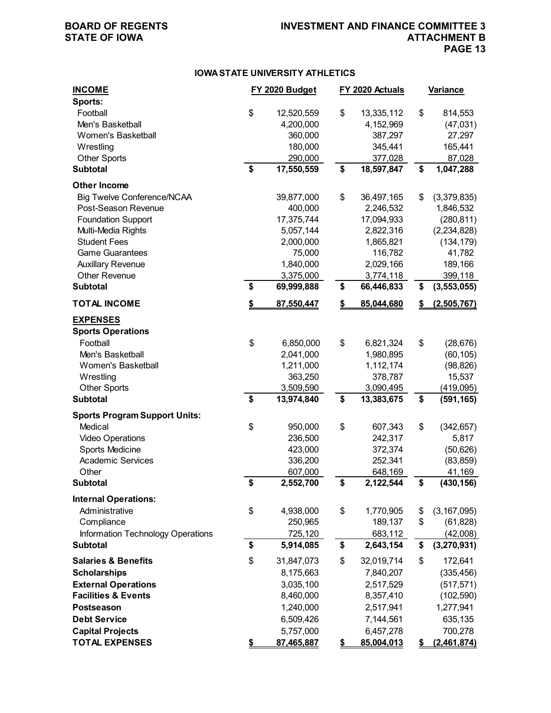## **BOARD OF REGENTS INVESTMENT AND FINANCE COMMITTEE 3 PAGE 13**

### **IOWA STATE UNIVERSITY ATHLETICS**

| <b>INCOME</b><br>Sports:                                | FY 2020 Budget   | FY 2020 Actuals  | <b>Variance</b>     |
|---------------------------------------------------------|------------------|------------------|---------------------|
| Football                                                | \$<br>12,520,559 | \$<br>13,335,112 | \$<br>814,553       |
| Men's Basketball                                        | 4,200,000        | 4,152,969        | (47, 031)           |
| Women's Basketball                                      | 360,000          | 387,297          | 27,297              |
| Wrestling                                               | 180,000          | 345,441          | 165,441             |
| <b>Other Sports</b>                                     | 290,000          | 377,028          | 87,028              |
| <b>Subtotal</b>                                         | \$<br>17,550,559 | \$<br>18,597,847 | \$<br>1,047,288     |
| <b>Other Income</b>                                     |                  |                  |                     |
| <b>Big Twelve Conference/NCAA</b>                       | 39,877,000       | \$<br>36,497,165 | \$<br>(3,379,835)   |
| Post-Season Revenue                                     | 400,000          | 2,246,532        | 1,846,532           |
| <b>Foundation Support</b>                               | 17,375,744       | 17,094,933       | (280, 811)          |
| Multi-Media Rights                                      | 5,057,144        | 2,822,316        | (2, 234, 828)       |
| <b>Student Fees</b>                                     | 2,000,000        | 1,865,821        | (134, 179)          |
| <b>Game Guarantees</b>                                  | 75,000           | 116,782          | 41,782              |
| <b>Auxillary Revenue</b>                                | 1,840,000        | 2,029,166        | 189,166             |
| <b>Other Revenue</b>                                    | 3,375,000        | 3,774,118        | 399,118             |
| <b>Subtotal</b>                                         | \$<br>69,999,888 | \$<br>66,446,833 | \$<br>(3, 553, 055) |
| <b>TOTAL INCOME</b>                                     | \$<br>87,550,447 | \$<br>85,044,680 | \$<br>(2,505,767)   |
| <b>EXPENSES</b><br><b>Sports Operations</b><br>Football | \$<br>6,850,000  | \$<br>6,821,324  | \$<br>(28, 676)     |
| Men's Basketball                                        | 2,041,000        | 1,980,895        | (60, 105)           |
| Women's Basketball                                      | 1,211,000        | 1,112,174        | (98, 826)           |
| Wrestling                                               | 363,250          | 378,787          | 15,537              |
| <b>Other Sports</b>                                     | 3,509,590        | 3,090,495        | (419,095)           |
| <b>Subtotal</b>                                         | \$<br>13,974,840 | \$<br>13,383,675 | \$<br>(591, 165)    |
| <b>Sports Program Support Units:</b>                    |                  |                  |                     |
| Medical                                                 | \$<br>950,000    | \$<br>607,343    | \$<br>(342, 657)    |
| <b>Video Operations</b>                                 | 236,500          | 242,317          | 5,817               |
| Sports Medicine                                         | 423,000          | 372,374          | (50, 626)           |
| <b>Academic Services</b>                                | 336,200          | 252,341          | (83, 859)           |
| Other                                                   | 607,000          | 648,169          | 41,169              |
| <b>Subtotal</b>                                         | \$<br>2,552,700  | \$<br>2,122,544  | \$<br>(430, 156)    |
| <b>Internal Operations:</b>                             |                  |                  |                     |
| Administrative                                          | \$<br>4,938,000  | \$<br>1,770,905  | \$<br>(3, 167, 095) |
| Compliance                                              | 250,965          | 189,137          | \$<br>(61, 828)     |
| Information Technology Operations                       | 725,120          | 683,112          | (42,008)            |
| <b>Subtotal</b>                                         | \$<br>5,914,085  | \$<br>2,643,154  | \$<br>(3,270,931)   |
| <b>Salaries &amp; Benefits</b>                          | \$<br>31,847,073 | \$<br>32,019,714 | \$<br>172,641       |
| <b>Scholarships</b>                                     | 8,175,663        | 7,840,207        | (335, 456)          |
| <b>External Operations</b>                              | 3,035,100        | 2,517,529        | (517, 571)          |
| <b>Facilities &amp; Events</b>                          | 8,460,000        | 8,357,410        | (102, 590)          |
| Postseason                                              | 1,240,000        | 2,517,941        | 1,277,941           |
| <b>Debt Service</b>                                     | 6,509,426        | 7,144,561        | 635,135             |
| <b>Capital Projects</b>                                 | 5,757,000        | 6,457,278        | 700,278             |
| <b>TOTAL EXPENSES</b>                                   | \$<br>87,465,887 | \$<br>85,004,013 | \$<br>(2,461,874)   |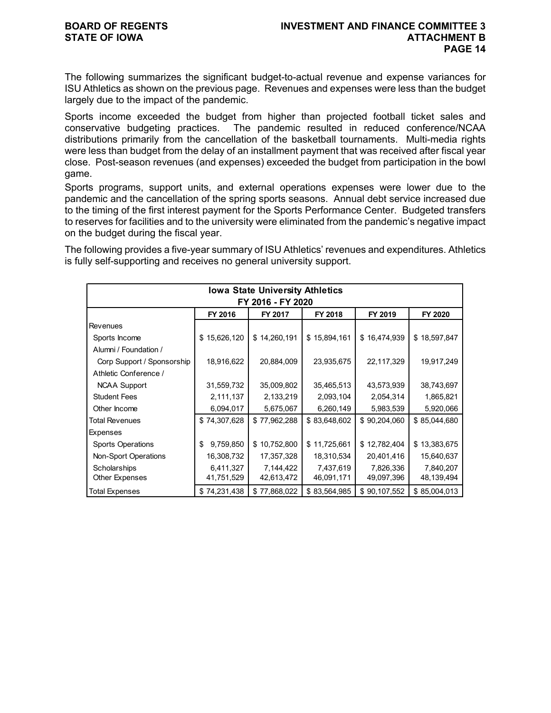The following summarizes the significant budget-to-actual revenue and expense variances for ISU Athletics as shown on the previous page. Revenues and expenses were less than the budget largely due to the impact of the pandemic.

Sports income exceeded the budget from higher than projected football ticket sales and conservative budgeting practices. The pandemic resulted in reduced conference/NCAA distributions primarily from the cancellation of the basketball tournaments. Multi-media rights were less than budget from the delay of an installment payment that was received after fiscal year close. Post-season revenues (and expenses) exceeded the budget from participation in the bowl game.

Sports programs, support units, and external operations expenses were lower due to the pandemic and the cancellation of the spring sports seasons. Annual debt service increased due to the timing of the first interest payment for the Sports Performance Center. Budgeted transfers to reserves for facilities and to the university were eliminated from the pandemic's negative impact on the budget during the fiscal year.

The following provides a five-year summary of ISU Athletics' revenues and expenditures. Athletics is fully self-supporting and receives no general university support.

| <b>Iowa State University Athletics</b>              |                 |              |              |              |              |  |  |  |
|-----------------------------------------------------|-----------------|--------------|--------------|--------------|--------------|--|--|--|
| FY 2016 - FY 2020                                   |                 |              |              |              |              |  |  |  |
| FY 2016<br>FY 2017<br>FY 2018<br>FY 2019<br>FY 2020 |                 |              |              |              |              |  |  |  |
| <b>Revenues</b>                                     |                 |              |              |              |              |  |  |  |
| Sports Income                                       | \$15,626,120    | \$14,260,191 | \$15,894,161 | \$16,474,939 | \$18,597,847 |  |  |  |
| Alumni / Foundation /                               |                 |              |              |              |              |  |  |  |
| Corp Support / Sponsorship                          | 18,916,622      | 20,884,009   | 23,935,675   | 22,117,329   | 19,917,249   |  |  |  |
| Athletic Conference /                               |                 |              |              |              |              |  |  |  |
| <b>NCAA Support</b>                                 | 31,559,732      | 35,009,802   | 35,465,513   | 43,573,939   | 38,743,697   |  |  |  |
| <b>Student Fees</b>                                 | 2,111,137       | 2,133,219    | 2,093,104    | 2,054,314    | 1,865,821    |  |  |  |
| Other Income                                        | 6,094,017       | 5,675,067    | 6,260,149    | 5,983,539    | 5,920,066    |  |  |  |
| Total Revenues                                      | \$74,307,628    | \$77,962,288 | \$83,648,602 | \$90,204,060 | \$85,044,680 |  |  |  |
| <b>Expenses</b>                                     |                 |              |              |              |              |  |  |  |
| <b>Sports Operations</b>                            | 9,759,850<br>\$ | \$10,752,800 | \$11,725,661 | \$12,782,404 | \$13,383,675 |  |  |  |
| Non-Sport Operations                                | 16,308,732      | 17,357,328   | 18,310,534   | 20,401,416   | 15,640,637   |  |  |  |
| Scholarships                                        | 6,411,327       | 7,144,422    | 7,437,619    | 7,826,336    | 7,840,207    |  |  |  |
| Other Expenses                                      | 41,751,529      | 42,613,472   | 46,091,171   | 49,097,396   | 48,139,494   |  |  |  |
| <b>Total Expenses</b>                               | \$74,231,438    | \$77,868,022 | \$83,564,985 | \$90,107,552 | \$85,004,013 |  |  |  |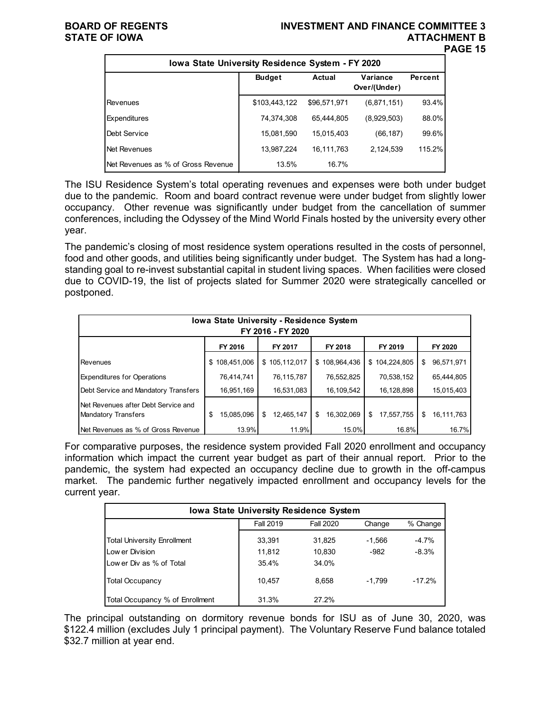### **BOARD OF REGENTS INVESTMENT AND FINANCE COMMITTEE 3 STATE OF IOWA ATTACHMENT B PAGE 15**

| lowa State University Residence System - FY 2020 |               |               |                          |         |  |  |  |  |
|--------------------------------------------------|---------------|---------------|--------------------------|---------|--|--|--|--|
|                                                  | <b>Budget</b> | <b>Actual</b> | Variance<br>Over/(Under) | Percent |  |  |  |  |
| Revenues                                         | \$103,443,122 | \$96,571,971  | (6,871,151)              | 93.4%   |  |  |  |  |
| Expenditures                                     | 74,374,308    | 65.444.805    | (8,929,503)              | 88.0%   |  |  |  |  |
| Debt Service                                     | 15,081,590    | 15,015,403    | (66,187)                 | 99.6%   |  |  |  |  |
| Net Revenues                                     | 13,987,224    | 16,111,763    | 2,124,539                | 115.2%  |  |  |  |  |
| Net Revenues as % of Gross Revenue               | 13.5%         | 16.7%         |                          |         |  |  |  |  |

The ISU Residence System's total operating revenues and expenses were both under budget due to the pandemic. Room and board contract revenue were under budget from slightly lower occupancy. Other revenue was significantly under budget from the cancellation of summer conferences, including the Odyssey of the Mind World Finals hosted by the university every other year.

The pandemic's closing of most residence system operations resulted in the costs of personnel, food and other goods, and utilities being significantly under budget. The System has had a longstanding goal to re-invest substantial capital in student living spaces. When facilities were closed due to COVID-19, the list of projects slated for Summer 2020 were strategically cancelled or postponed.

| <b>Iowa State University - Residence System</b><br>FY 2016 - FY 2020 |                   |                  |                  |                  |                  |  |  |  |  |  |
|----------------------------------------------------------------------|-------------------|------------------|------------------|------------------|------------------|--|--|--|--|--|
| FY 2018<br>FY 2016<br>FY 2017<br>FY 2019<br>FY 2020                  |                   |                  |                  |                  |                  |  |  |  |  |  |
| Revenues                                                             | 108,451,006<br>\$ | \$105,112,017    | \$108,964,436    | 104,224,805<br>S | 96,571,971<br>S  |  |  |  |  |  |
| <b>Expenditures for Operations</b>                                   | 76,414,741        | 76,115,787       | 76,552,825       | 70,538,152       | 65,444,805       |  |  |  |  |  |
| Debt Service and Mandatory Transfers                                 | 16,951,169        | 16,531,083       | 16,109,542       | 16,128,898       | 15,015,403       |  |  |  |  |  |
| Net Revenues after Debt Service and<br>Mandatory Transfers           | 15,085,096<br>\$  | 12,465,147<br>\$ | \$<br>16,302,069 | \$<br>17,557,755 | \$<br>16.111.763 |  |  |  |  |  |
| Net Revenues as % of Gross Revenue                                   | 13.9%             | 11.9%            | 15.0%            | 16.8%            | 16.7%            |  |  |  |  |  |

For comparative purposes, the residence system provided Fall 2020 enrollment and occupancy information which impact the current year budget as part of their annual report. Prior to the pandemic, the system had expected an occupancy decline due to growth in the off-campus market. The pandemic further negatively impacted enrollment and occupancy levels for the current year.

| <b>Iowa State University Residence System</b> |           |           |          |          |  |  |  |
|-----------------------------------------------|-----------|-----------|----------|----------|--|--|--|
|                                               | Fall 2019 | Fall 2020 | Change   | % Change |  |  |  |
| <b>Total University Enrollment</b>            | 33,391    | 31,825    | $-1,566$ | $-4.7%$  |  |  |  |
| Low er Division                               | 11,812    | 10,830    | $-982$   | $-8.3%$  |  |  |  |
| Low er Div as % of Total                      | 35.4%     | 34.0%     |          |          |  |  |  |
| <b>Total Occupancy</b>                        | 10.457    | 8.658     | $-1.799$ | $-17.2%$ |  |  |  |
| Total Occupancy % of Enrollment               | 31.3%     | 27.2%     |          |          |  |  |  |

The principal outstanding on dormitory revenue bonds for ISU as of June 30, 2020, was \$122.4 million (excludes July 1 principal payment). The Voluntary Reserve Fund balance totaled \$32.7 million at year end.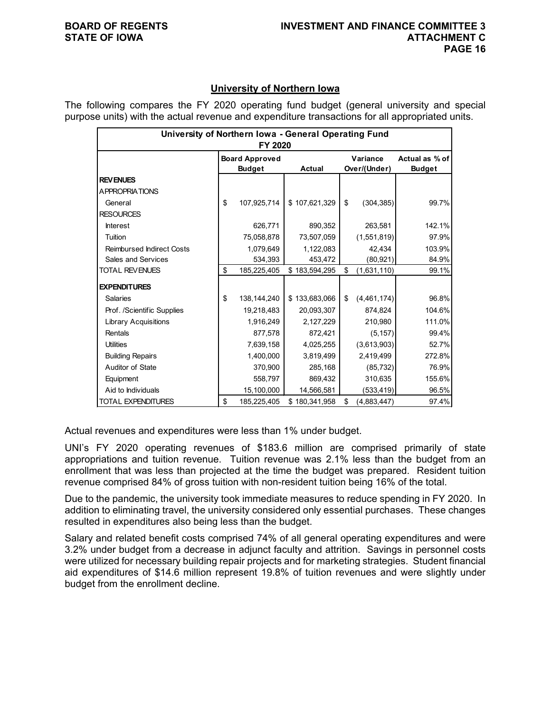### **University of Northern Iowa**

The following compares the FY 2020 operating fund budget (general university and special purpose units) with the actual revenue and expenditure transactions for all appropriated units.

| University of Northern Iowa - General Operating Fund<br>FY 2020 |    |                       |               |    |              |                |  |  |
|-----------------------------------------------------------------|----|-----------------------|---------------|----|--------------|----------------|--|--|
|                                                                 |    | <b>Board Approved</b> |               |    | Variance     | Actual as % of |  |  |
|                                                                 |    | <b>Budget</b>         | <b>Actual</b> |    | Over/(Under) | <b>Budget</b>  |  |  |
| <b>REVENUES</b>                                                 |    |                       |               |    |              |                |  |  |
| <b>APPROPRIATIONS</b>                                           |    |                       |               |    |              |                |  |  |
| General                                                         | \$ | 107,925,714           | \$107,621,329 | \$ | (304, 385)   | 99.7%          |  |  |
| <b>RESOURCES</b>                                                |    |                       |               |    |              |                |  |  |
| <b>Interest</b>                                                 |    | 626,771               | 890,352       |    | 263,581      | 142.1%         |  |  |
| Tuition                                                         |    | 75,058,878            | 73,507,059    |    | (1,551,819)  | 97.9%          |  |  |
| <b>Reimbursed Indirect Costs</b>                                |    | 1,079,649             | 1,122,083     |    | 42.434       | 103.9%         |  |  |
| <b>Sales and Services</b>                                       |    | 534,393               | 453,472       |    | (80, 921)    | 84.9%          |  |  |
| <b>TOTAL REVENUES</b>                                           | \$ | 185,225,405           | \$183,594,295 | \$ | (1,631,110)  | 99.1%          |  |  |
| <b>EXPENDITURES</b>                                             |    |                       |               |    |              |                |  |  |
| <b>Salaries</b>                                                 | \$ | 138,144,240           | \$133,683,066 | \$ | (4,461,174)  | 96.8%          |  |  |
| Prof. /Scientific Supplies                                      |    | 19,218,483            | 20,093,307    |    | 874,824      | 104.6%         |  |  |
| <b>Library Acquisitions</b>                                     |    | 1,916,249             | 2,127,229     |    | 210,980      | 111.0%         |  |  |
| Rentals                                                         |    | 877,578               | 872,421       |    | (5, 157)     | 99.4%          |  |  |
| <b>Utilities</b>                                                |    | 7,639,158             | 4,025,255     |    | (3,613,903)  | 52.7%          |  |  |
| <b>Building Repairs</b>                                         |    | 1,400,000             | 3,819,499     |    | 2,419,499    | 272.8%         |  |  |
| Auditor of State                                                |    | 370,900               | 285,168       |    | (85, 732)    | 76.9%          |  |  |
| Equipment                                                       |    | 558,797               | 869,432       |    | 310,635      | 155.6%         |  |  |
| Aid to Individuals                                              |    | 15,100,000            | 14,566,581    |    | (533,419)    | 96.5%          |  |  |
| <b>TOTAL EXPENDITURES</b>                                       | \$ | 185,225,405           | \$180,341,958 | \$ | (4,883,447)  | 97.4%          |  |  |

Actual revenues and expenditures were less than 1% under budget.

UNI's FY 2020 operating revenues of \$183.6 million are comprised primarily of state appropriations and tuition revenue. Tuition revenue was 2.1% less than the budget from an enrollment that was less than projected at the time the budget was prepared. Resident tuition revenue comprised 84% of gross tuition with non-resident tuition being 16% of the total.

Due to the pandemic, the university took immediate measures to reduce spending in FY 2020. In addition to eliminating travel, the university considered only essential purchases. These changes resulted in expenditures also being less than the budget.

Salary and related benefit costs comprised 74% of all general operating expenditures and were 3.2% under budget from a decrease in adjunct faculty and attrition. Savings in personnel costs were utilized for necessary building repair projects and for marketing strategies. Student financial aid expenditures of \$14.6 million represent 19.8% of tuition revenues and were slightly under budget from the enrollment decline.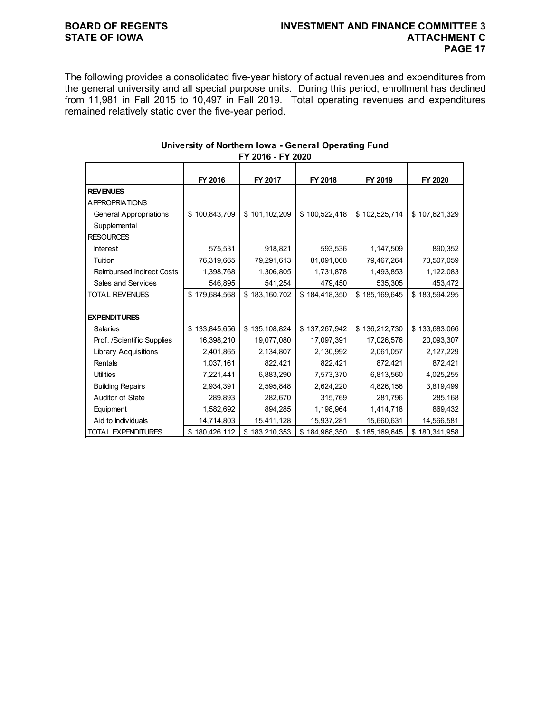## **BOARD OF REGENTS INVESTMENT AND FINANCE COMMITTEE 3 PAGE 17**

The following provides a consolidated five-year history of actual revenues and expenditures from the general university and all special purpose units. During this period, enrollment has declined from 11,981 in Fall 2015 to 10,497 in Fall 2019. Total operating revenues and expenditures remained relatively static over the five-year period.

|                                  | FY 2016       | FY 2017           | FY 2018       | FY 2019       | FY 2020       |
|----------------------------------|---------------|-------------------|---------------|---------------|---------------|
| <b>REV ENUES</b>                 |               |                   |               |               |               |
| <b>APPROPRIATIONS</b>            |               |                   |               |               |               |
| <b>General Appropriations</b>    | \$100,843,709 | \$101,102,209     | \$100,522,418 | \$102,525,714 | \$107,621,329 |
| Supplemental                     |               |                   |               |               |               |
| <b>RESOURCES</b>                 |               |                   |               |               |               |
| <b>Interest</b>                  | 575,531       | 918,821           | 593,536       | 1,147,509     | 890,352       |
| Tuition                          | 76,319,665    | 79,291,613        | 81,091,068    | 79,467,264    | 73,507,059    |
| <b>Reimbursed Indirect Costs</b> | 1,398,768     | 1,306,805         | 1,731,878     | 1,493,853     | 1,122,083     |
| Sales and Services               | 546,895       | 541,254           | 479,450       | 535,305       | 453,472       |
| <b>TOTAL REVENUES</b>            | \$179,684,568 | \$183,160,702     | \$184,418,350 | \$185,169,645 | \$183,594,295 |
|                                  |               |                   |               |               |               |
| <b>EXPENDITURES</b>              |               |                   |               |               |               |
| <b>Salaries</b>                  | \$133,845,656 | \$135,108,824     | \$137,267,942 | \$136,212,730 | \$133,683,066 |
| Prof. /Scientific Supplies       | 16,398,210    | 19,077,080        | 17,097,391    | 17,026,576    | 20,093,307    |
| <b>Library Acquisitions</b>      | 2,401,865     | 2,134,807         | 2,130,992     | 2,061,057     | 2,127,229     |
| Rentals                          | 1,037,161     | 822,421           | 822,421       | 872,421       | 872,421       |
| <b>Utilities</b>                 | 7,221,441     | 6,883,290         | 7,573,370     | 6,813,560     | 4,025,255     |
| <b>Building Repairs</b>          | 2,934,391     | 2,595,848         | 2,624,220     | 4,826,156     | 3,819,499     |
| Auditor of State                 | 289,893       | 282,670           | 315,769       | 281,796       | 285,168       |
| Equipment                        | 1,582,692     | 894,285           | 1,198,964     | 1,414,718     | 869,432       |
| Aid to Individuals               | 14,714,803    | 15,411,128        | 15,937,281    | 15,660,631    | 14,566,581    |
| <b>TOTAL EXPENDITURES</b>        | \$180,426,112 | 183,210,353<br>\$ | \$184,968,350 | \$185,169,645 | \$180,341,958 |

### **University of Northern Iowa - General Operating Fund FY 2016 - FY 2020**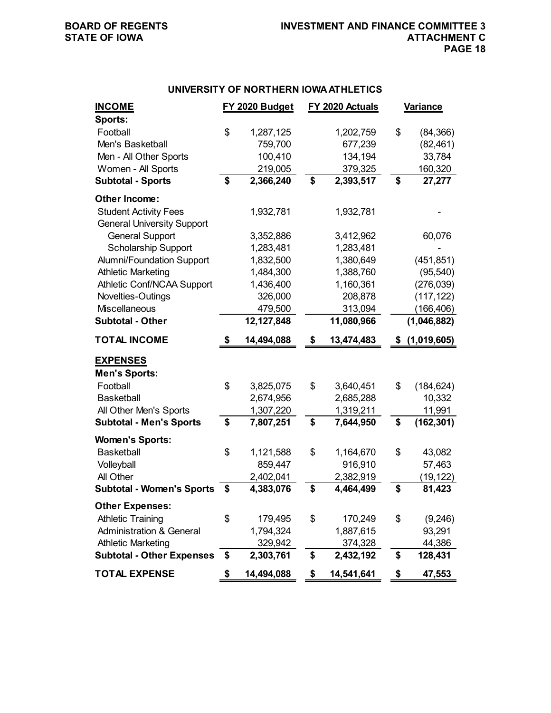### **UNIVERSITY OF NORTHERN IOWA ATHLETICS**

| <b>INCOME</b>                                                   |    | FY 2020 Budget       | FY 2020 Actuals |                      | <b>Variance</b>   |
|-----------------------------------------------------------------|----|----------------------|-----------------|----------------------|-------------------|
| Sports:                                                         |    |                      |                 |                      |                   |
| Football                                                        | \$ | 1,287,125            |                 | 1,202,759            | \$<br>(84, 366)   |
| Men's Basketball                                                |    | 759,700              |                 | 677,239              | (82, 461)         |
| Men - All Other Sports                                          |    | 100,410              |                 | 134,194              | 33,784            |
| Women - All Sports                                              |    | 219,005              |                 | 379,325              | 160,320           |
| <b>Subtotal - Sports</b>                                        | \$ | 2,366,240            | \$              | 2,393,517            | \$<br>27,277      |
| <b>Other Income:</b>                                            |    |                      |                 |                      |                   |
| <b>Student Activity Fees</b>                                    |    | 1,932,781            |                 | 1,932,781            |                   |
| <b>General University Support</b>                               |    |                      |                 |                      |                   |
| <b>General Support</b>                                          |    | 3,352,886            |                 | 3,412,962            | 60,076            |
| <b>Scholarship Support</b>                                      |    | 1,283,481            |                 | 1,283,481            |                   |
| <b>Alumni/Foundation Support</b>                                |    | 1,832,500            |                 | 1,380,649            | (451, 851)        |
| <b>Athletic Marketing</b>                                       |    | 1,484,300            |                 | 1,388,760            | (95, 540)         |
| Athletic Conf/NCAA Support                                      |    | 1,436,400            |                 | 1,160,361            | (276, 039)        |
| Novelties-Outings                                               |    | 326,000              |                 | 208,878              | (117, 122)        |
| Miscellaneous                                                   |    | 479,500              |                 | 313,094              | (166, 406)        |
| <b>Subtotal - Other</b>                                         |    | 12,127,848           |                 | 11,080,966           | (1,046,882)       |
| <b>TOTAL INCOME</b>                                             | S  | 14,494,088           | \$              | 13,474,483           | \$<br>(1,019,605) |
| <b>EXPENSES</b>                                                 |    |                      |                 |                      |                   |
| <b>Men's Sports:</b>                                            |    |                      |                 |                      |                   |
| Football                                                        | \$ | 3,825,075            | \$              | 3,640,451            | \$<br>(184, 624)  |
| <b>Basketball</b>                                               |    | 2,674,956            |                 | 2,685,288            | 10,332            |
| All Other Men's Sports                                          |    | 1,307,220            |                 | 1,319,211            | 11,991            |
| <b>Subtotal - Men's Sports</b>                                  | \$ | 7,807,251            | \$              | 7,644,950            | \$<br>(162, 301)  |
| <b>Women's Sports:</b>                                          |    |                      |                 |                      |                   |
| <b>Basketball</b>                                               | \$ | 1,121,588            | \$              | 1,164,670            | \$<br>43,082      |
| Volleyball                                                      |    | 859,447              |                 | 916,910              | 57,463            |
| All Other                                                       |    | 2,402,041            |                 | 2,382,919            | (19, 122)         |
| <b>Subtotal - Women's Sports</b>                                | \$ | 4,383,076            | \$              | 4,464,499            | \$<br>81,423      |
|                                                                 |    |                      |                 |                      |                   |
| <b>Other Expenses:</b>                                          |    |                      |                 |                      | \$                |
| <b>Athletic Training</b><br><b>Administration &amp; General</b> | \$ | 179,495<br>1,794,324 | \$              | 170,249<br>1,887,615 | (9,246)<br>93,291 |
| <b>Athletic Marketing</b>                                       |    | 329,942              |                 | 374,328              | 44,386            |
| <b>Subtotal - Other Expenses</b>                                | \$ | 2,303,761            | \$              | 2,432,192            | \$<br>128,431     |
| <b>TOTAL EXPENSE</b>                                            | \$ | 14,494,088           | \$              | 14,541,641           | \$<br>47,553      |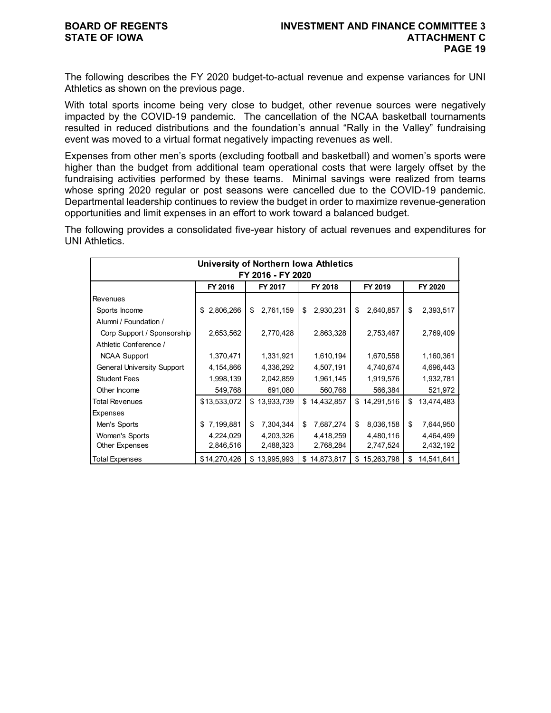The following describes the FY 2020 budget-to-actual revenue and expense variances for UNI Athletics as shown on the previous page.

With total sports income being very close to budget, other revenue sources were negatively impacted by the COVID-19 pandemic. The cancellation of the NCAA basketball tournaments resulted in reduced distributions and the foundation's annual "Rally in the Valley" fundraising event was moved to a virtual format negatively impacting revenues as well.

Expenses from other men's sports (excluding football and basketball) and women's sports were higher than the budget from additional team operational costs that were largely offset by the fundraising activities performed by these teams. Minimal savings were realized from teams whose spring 2020 regular or post seasons were cancelled due to the COVID-19 pandemic. Departmental leadership continues to review the budget in order to maximize revenue-generation opportunities and limit expenses in an effort to work toward a balanced budget.

The following provides a consolidated five-year history of actual revenues and expenditures for UNI Athletics.

| University of Northern Iowa Athletics |                 |                  |                  |                  |                  |  |  |  |
|---------------------------------------|-----------------|------------------|------------------|------------------|------------------|--|--|--|
| FY 2016 - FY 2020                     |                 |                  |                  |                  |                  |  |  |  |
|                                       | FY 2016         | FY 2017          | FY 2018          | FY 2019          | FY 2020          |  |  |  |
| <b>Revenues</b>                       |                 |                  |                  |                  |                  |  |  |  |
| Sports Income                         | 2,806,266<br>\$ | 2,761,159<br>\$  | 2,930,231<br>\$  | 2,640,857<br>\$  | \$<br>2,393,517  |  |  |  |
| Alumni / Foundation /                 |                 |                  |                  |                  |                  |  |  |  |
| Corp Support / Sponsorship            | 2,653,562       | 2,770,428        | 2,863,328        | 2,753,467        | 2,769,409        |  |  |  |
| Athletic Conference /                 |                 |                  |                  |                  |                  |  |  |  |
| <b>NCAA Support</b>                   | 1,370,471       | 1,331,921        | 1,610,194        | 1,670,558        | 1,160,361        |  |  |  |
| <b>General University Support</b>     | 4,154,866       | 4,336,292        | 4,507,191        | 4,740,674        | 4,696,443        |  |  |  |
| <b>Student Fees</b>                   | 1,998,139       | 2,042,859        | 1,961,145        | 1,919,576        | 1,932,781        |  |  |  |
| Other Income                          | 549,768         | 691,080          | 560,768          | 566,384          | 521,972          |  |  |  |
| Total Revenues                        | \$13,533,072    | \$13,933,739     | 14,432,857<br>\$ | \$14,291,516     | \$<br>13,474,483 |  |  |  |
| Expenses                              |                 |                  |                  |                  |                  |  |  |  |
| Men's Sports                          | 7,199,881<br>\$ | \$<br>7,304,344  | 7,687,274<br>\$  | \$<br>8,036,158  | \$<br>7,644,950  |  |  |  |
| Women's Sports                        | 4,224,029       | 4,203,326        | 4,418,259        | 4,480,116        | 4,464,499        |  |  |  |
| Other Expenses                        | 2,846,516       | 2,488,323        | 2,768,284        | 2,747,524        | 2,432,192        |  |  |  |
| Total Expenses                        | \$14,270,426    | 13,995,993<br>\$ | 14,873,817<br>\$ | 15,263,798<br>\$ | \$<br>14,541,641 |  |  |  |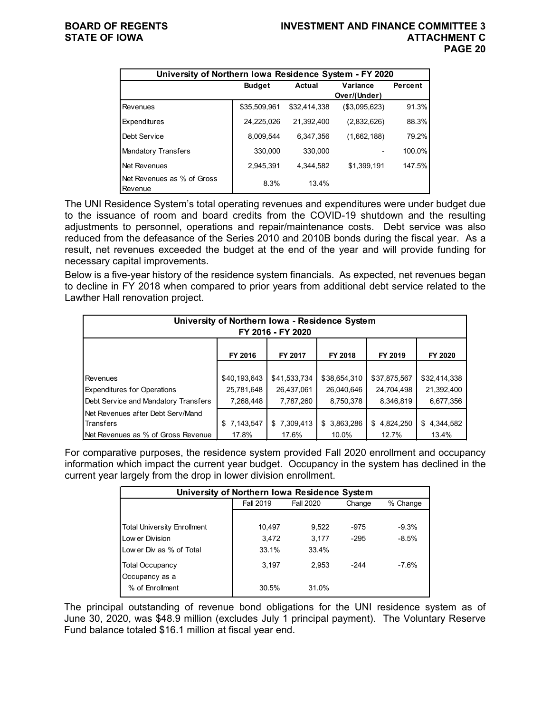|                                              | University of Northern Iowa Residence System - FY 2020 |               |               |         |  |  |  |  |  |  |  |
|----------------------------------------------|--------------------------------------------------------|---------------|---------------|---------|--|--|--|--|--|--|--|
|                                              | <b>Budget</b>                                          | <b>Actual</b> | Variance      | Percent |  |  |  |  |  |  |  |
|                                              |                                                        |               | Over/(Under)  |         |  |  |  |  |  |  |  |
| Revenues                                     | \$35,509,961                                           | \$32.414.338  | (\$3,095,623) | 91.3%   |  |  |  |  |  |  |  |
| <b>Expenditures</b>                          | 24,225,026                                             | 21.392.400    | (2,832,626)   | 88.3%   |  |  |  |  |  |  |  |
| Debt Service                                 | 8,009,544                                              | 6.347.356     | (1,662,188)   | 79.2%   |  |  |  |  |  |  |  |
| Mandatory Transfers                          | 330,000                                                | 330,000       |               | 100.0%  |  |  |  |  |  |  |  |
| Net Revenues                                 | 2.945.391                                              | 4.344.582     | \$1,399,191   | 147.5%  |  |  |  |  |  |  |  |
| Net Revenues as % of Gross<br><b>Revenue</b> | 8.3%                                                   | 13.4%         |               |         |  |  |  |  |  |  |  |

The UNI Residence System's total operating revenues and expenditures were under budget due to the issuance of room and board credits from the COVID-19 shutdown and the resulting adjustments to personnel, operations and repair/maintenance costs. Debt service was also reduced from the defeasance of the Series 2010 and 2010B bonds during the fiscal year. As a result, net revenues exceeded the budget at the end of the year and will provide funding for necessary capital improvements.

Below is a five-year history of the residence system financials. As expected, net revenues began to decline in FY 2018 when compared to prior years from additional debt service related to the Lawther Hall renovation project.

| University of Northern Iowa - Residence System<br>FY 2016 - FY 2020 |              |              |              |              |              |  |  |  |  |  |
|---------------------------------------------------------------------|--------------|--------------|--------------|--------------|--------------|--|--|--|--|--|
| FY 2016<br>FY 2018<br>FY 2019<br>FY 2017<br>FY 2020                 |              |              |              |              |              |  |  |  |  |  |
|                                                                     |              |              |              |              |              |  |  |  |  |  |
| Revenues                                                            | \$40,193,643 | \$41,533,734 | \$38,654,310 | \$37,875,567 | \$32,414,338 |  |  |  |  |  |
| <b>Expenditures for Operations</b>                                  | 25,781,648   | 26,437,061   | 26,040,646   | 24,704,498   | 21,392,400   |  |  |  |  |  |
| Debt Service and Mandatory Transfers                                | 7,268,448    | 7,787,260    | 8,750,378    | 8,346,819    | 6,677,356    |  |  |  |  |  |
| Net Revenues after Debt Serv/Mand                                   |              |              |              |              |              |  |  |  |  |  |
| Transfers                                                           | \$7,143,547  | \$7,309,413  | \$3,863,286  | \$4,824,250  | \$4,344,582  |  |  |  |  |  |
| Net Revenues as % of Gross Revenue                                  | 17.8%        | 17.6%        | 10.0%        | 12.7%        | 13.4%        |  |  |  |  |  |

For comparative purposes, the residence system provided Fall 2020 enrollment and occupancy information which impact the current year budget. Occupancy in the system has declined in the current year largely from the drop in lower division enrollment.

| University of Northern Iowa Residence System |                  |           |        |          |  |  |  |  |  |  |
|----------------------------------------------|------------------|-----------|--------|----------|--|--|--|--|--|--|
|                                              | <b>Fall 2019</b> | Fall 2020 | Change | % Change |  |  |  |  |  |  |
|                                              |                  |           |        |          |  |  |  |  |  |  |
| <b>Total University Enrollment</b>           | 10,497           | 9,522     | $-975$ | $-9.3%$  |  |  |  |  |  |  |
| Low er Division                              | 3.472            | 3.177     | $-295$ | $-8.5%$  |  |  |  |  |  |  |
| Low er Div as % of Total                     | 33.1%            | 33.4%     |        |          |  |  |  |  |  |  |
| <b>Total Occupancy</b><br>Occupancy as a     | 3,197            | 2.953     | $-244$ | $-7.6%$  |  |  |  |  |  |  |
| % of Enrollment                              | 30.5%            | 31.0%     |        |          |  |  |  |  |  |  |

The principal outstanding of revenue bond obligations for the UNI residence system as of June 30, 2020, was \$48.9 million (excludes July 1 principal payment). The Voluntary Reserve Fund balance totaled \$16.1 million at fiscal year end.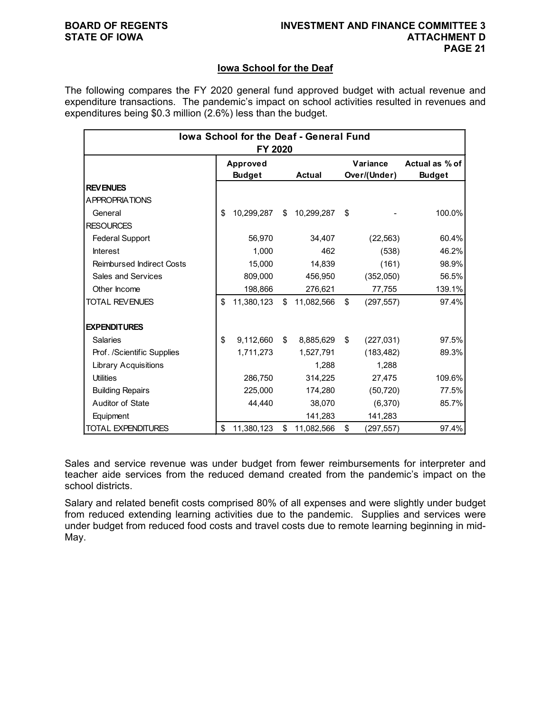### **Iowa School for the Deaf**

The following compares the FY 2020 general fund approved budget with actual revenue and expenditure transactions. The pandemic's impact on school activities resulted in revenues and expenditures being \$0.3 million (2.6%) less than the budget.

| <b>Iowa School for the Deaf - General Fund</b><br>FY 2020 |    |                           |    |               |    |                          |                                 |  |  |  |
|-----------------------------------------------------------|----|---------------------------|----|---------------|----|--------------------------|---------------------------------|--|--|--|
|                                                           |    | Approved<br><b>Budget</b> |    | <b>Actual</b> |    | Variance<br>Over/(Under) | Actual as % of<br><b>Budget</b> |  |  |  |
| <b>REV ENUES</b>                                          |    |                           |    |               |    |                          |                                 |  |  |  |
| <b>APPROPRIATIONS</b>                                     |    |                           |    |               |    |                          |                                 |  |  |  |
| General                                                   | \$ | 10,299,287                | \$ | 10,299,287    | \$ |                          | 100.0%                          |  |  |  |
| <b>RESOURCES</b>                                          |    |                           |    |               |    |                          |                                 |  |  |  |
| <b>Federal Support</b>                                    |    | 56.970                    |    | 34,407        |    | (22, 563)                | 60.4%                           |  |  |  |
| <b>Interest</b>                                           |    | 1.000                     |    | 462           |    | (538)                    | 46.2%                           |  |  |  |
| <b>Reimbursed Indirect Costs</b>                          |    | 15,000                    |    | 14,839        |    | (161)                    | 98.9%                           |  |  |  |
| Sales and Services                                        |    | 809,000                   |    | 456,950       |    | (352,050)                | 56.5%                           |  |  |  |
| Other Income                                              |    | 198,866                   |    | 276,621       |    | 77,755                   | 139.1%                          |  |  |  |
| <b>TOTAL REVENUES</b>                                     | \$ | 11,380,123                | \$ | 11,082,566    | \$ | (297, 557)               | 97.4%                           |  |  |  |
| <b>EXPENDITURES</b>                                       |    |                           |    |               |    |                          |                                 |  |  |  |
| <b>Salaries</b>                                           | \$ | 9,112,660                 | \$ | 8,885,629     | \$ | (227, 031)               | 97.5%                           |  |  |  |
| Prof. /Scientific Supplies                                |    | 1,711,273                 |    | 1,527,791     |    | (183, 482)               | 89.3%                           |  |  |  |
| <b>Library Acquisitions</b>                               |    |                           |    | 1,288         |    | 1.288                    |                                 |  |  |  |
| <b>Utilities</b>                                          |    | 286,750                   |    | 314,225       |    | 27,475                   | 109.6%                          |  |  |  |
| <b>Building Repairs</b>                                   |    | 225,000                   |    | 174,280       |    | (50, 720)                | 77.5%                           |  |  |  |
| Auditor of State                                          |    | 44.440                    |    | 38,070        |    | (6,370)                  | 85.7%                           |  |  |  |
| Equipment                                                 |    |                           |    | 141,283       |    | 141,283                  |                                 |  |  |  |
| <b>TOTAL EXPENDITURES</b>                                 | \$ | 11,380,123                | \$ | 11,082,566    | \$ | (297,557)                | 97.4%                           |  |  |  |

Sales and service revenue was under budget from fewer reimbursements for interpreter and teacher aide services from the reduced demand created from the pandemic's impact on the school districts.

Salary and related benefit costs comprised 80% of all expenses and were slightly under budget from reduced extending learning activities due to the pandemic. Supplies and services were under budget from reduced food costs and travel costs due to remote learning beginning in mid-May.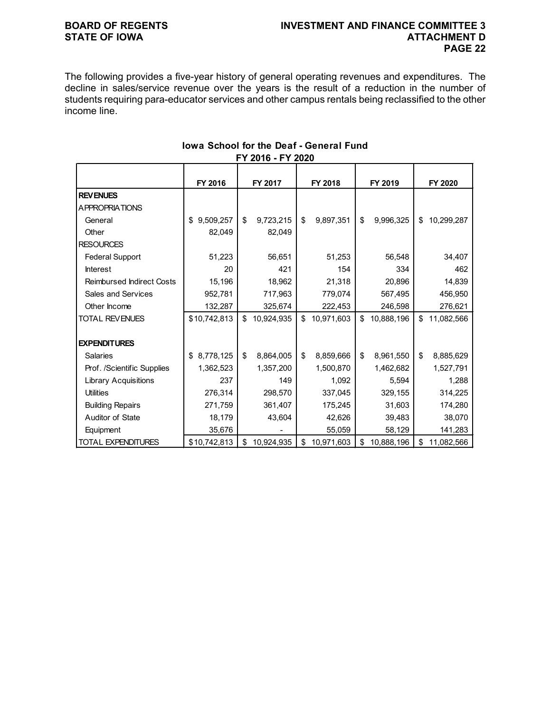## **BOARD OF REGENTS INVESTMENT AND FINANCE COMMITTEE 3 PAGE 22**

The following provides a five-year history of general operating revenues and expenditures. The decline in sales/service revenue over the years is the result of a reduction in the number of students requiring para-educator services and other campus rentals being reclassified to the other income line.

|                                  | FY 2016         | FY 2017 |            | FY 2018 |            | FY 2019 |            | FY 2020          |
|----------------------------------|-----------------|---------|------------|---------|------------|---------|------------|------------------|
| <b>REVENUES</b>                  |                 |         |            |         |            |         |            |                  |
| <b>APPROPRIATIONS</b>            |                 |         |            |         |            |         |            |                  |
| General                          | 9,509,257<br>\$ | \$      | 9,723,215  | \$      | 9,897,351  | \$      | 9,996,325  | \$<br>10,299,287 |
| Other                            | 82,049          |         | 82,049     |         |            |         |            |                  |
| <b>RESOURCES</b>                 |                 |         |            |         |            |         |            |                  |
| <b>Federal Support</b>           | 51,223          |         | 56,651     |         | 51,253     |         | 56,548     | 34,407           |
| Interest                         | 20              |         | 421        |         | 154        |         | 334        | 462              |
| <b>Reimbursed Indirect Costs</b> | 15,196          |         | 18,962     |         | 21,318     |         | 20,896     | 14,839           |
| Sales and Services               | 952,781         |         | 717,963    |         | 779,074    |         | 567,495    | 456,950          |
| Other Income                     | 132,287         |         | 325,674    |         | 222,453    |         | 246,598    | 276,621          |
| <b>TOTAL REVENUES</b>            | \$10,742,813    | \$      | 10,924,935 | \$      | 10,971,603 | \$      | 10,888,196 | \$<br>11,082,566 |
|                                  |                 |         |            |         |            |         |            |                  |
| <b>EXPENDITURES</b>              |                 |         |            |         |            |         |            |                  |
| <b>Salaries</b>                  | 8,778,125<br>\$ | \$      | 8,864,005  | \$      | 8,859,666  | \$      | 8,961,550  | \$<br>8,885,629  |
| Prof. /Scientific Supplies       | 1,362,523       |         | 1,357,200  |         | 1,500,870  |         | 1,462,682  | 1,527,791        |
| <b>Library Acquisitions</b>      | 237             |         | 149        |         | 1,092      |         | 5,594      | 1,288            |
| <b>Utilities</b>                 | 276,314         |         | 298,570    |         | 337,045    |         | 329,155    | 314,225          |
| <b>Building Repairs</b>          | 271,759         |         | 361,407    |         | 175,245    |         | 31,603     | 174,280          |
| Auditor of State                 | 18,179          |         | 43,604     |         | 42,626     |         | 39,483     | 38,070           |
| Equipment                        | 35,676          |         |            |         | 55,059     |         | 58,129     | 141,283          |
| <b>TOTAL EXPENDITURES</b>        | \$10,742,813    | \$      | 10,924,935 | \$      | 10,971,603 | \$      | 10,888,196 | \$<br>11,082,566 |

### **Iowa School for the Deaf - General Fund FY 2016 - FY 2020**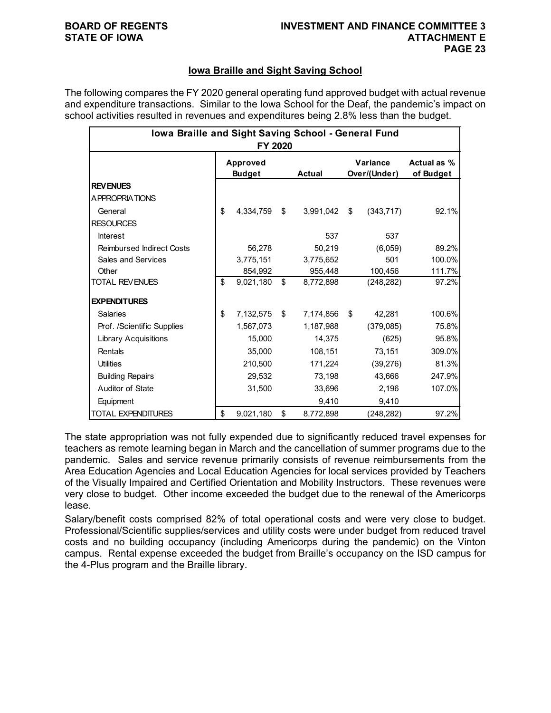### **Iowa Braille and Sight Saving School**

The following compares the FY 2020 general operating fund approved budget with actual revenue and expenditure transactions. Similar to the Iowa School for the Deaf, the pandemic's impact on school activities resulted in revenues and expenditures being 2.8% less than the budget.

| Iowa Braille and Sight Saving School - General Fund<br>FY 2020 |                                  |           |    |               |    |                          |                          |  |  |  |
|----------------------------------------------------------------|----------------------------------|-----------|----|---------------|----|--------------------------|--------------------------|--|--|--|
|                                                                | <b>Approved</b><br><b>Budget</b> |           |    | <b>Actual</b> |    | Variance<br>Over/(Under) | Actual as %<br>of Budget |  |  |  |
| <b>REVENUES</b>                                                |                                  |           |    |               |    |                          |                          |  |  |  |
| <b>APPROPRIATIONS</b>                                          |                                  |           |    |               |    |                          |                          |  |  |  |
| General                                                        | \$                               | 4,334,759 | \$ | 3,991,042     | \$ | (343, 717)               | 92.1%                    |  |  |  |
| <b>RESOURCES</b>                                               |                                  |           |    |               |    |                          |                          |  |  |  |
| <b>Interest</b>                                                |                                  |           |    | 537           |    | 537                      |                          |  |  |  |
| <b>Reimbursed Indirect Costs</b>                               |                                  | 56,278    |    | 50,219        |    | (6,059)                  | 89.2%                    |  |  |  |
| <b>Sales and Services</b>                                      |                                  | 3,775,151 |    | 3,775,652     |    | 501                      | 100.0%                   |  |  |  |
| Other                                                          |                                  | 854,992   |    | 955,448       |    | 100,456                  | 111.7%                   |  |  |  |
| <b>TOTAL REVENUES</b>                                          | \$                               | 9,021,180 | \$ | 8,772,898     |    | (248, 282)               | 97.2%                    |  |  |  |
| <b>EXPENDITURES</b>                                            |                                  |           |    |               |    |                          |                          |  |  |  |
| <b>Salaries</b>                                                | \$                               | 7,132,575 | \$ | 7,174,856     | \$ | 42,281                   | 100.6%                   |  |  |  |
| Prof. /Scientific Supplies                                     |                                  | 1,567,073 |    | 1,187,988     |    | (379,085)                | 75.8%                    |  |  |  |
| <b>Library Acquisitions</b>                                    |                                  | 15,000    |    | 14,375        |    | (625)                    | 95.8%                    |  |  |  |
| Rentals                                                        |                                  | 35,000    |    | 108,151       |    | 73,151                   | 309.0%                   |  |  |  |
| <b>Utilities</b>                                               |                                  | 210,500   |    | 171,224       |    | (39,276)                 | 81.3%                    |  |  |  |
| <b>Building Repairs</b>                                        |                                  | 29,532    |    | 73,198        |    | 43,666                   | 247.9%                   |  |  |  |
| Auditor of State                                               |                                  | 31,500    |    | 33,696        |    | 2,196                    | 107.0%                   |  |  |  |
| Equipment                                                      |                                  |           |    | 9,410         |    | 9,410                    |                          |  |  |  |
| <b>TOTAL EXPENDITURES</b>                                      | \$                               | 9,021,180 | \$ | 8,772,898     |    | (248,282)                | 97.2%                    |  |  |  |

The state appropriation was not fully expended due to significantly reduced travel expenses for teachers as remote learning began in March and the cancellation of summer programs due to the pandemic. Sales and service revenue primarily consists of revenue reimbursements from the Area Education Agencies and Local Education Agencies for local services provided by Teachers of the Visually Impaired and Certified Orientation and Mobility Instructors. These revenues were very close to budget. Other income exceeded the budget due to the renewal of the Americorps lease.

Salary/benefit costs comprised 82% of total operational costs and were very close to budget. Professional/Scientific supplies/services and utility costs were under budget from reduced travel costs and no building occupancy (including Americorps during the pandemic) on the Vinton campus. Rental expense exceeded the budget from Braille's occupancy on the ISD campus for the 4-Plus program and the Braille library.